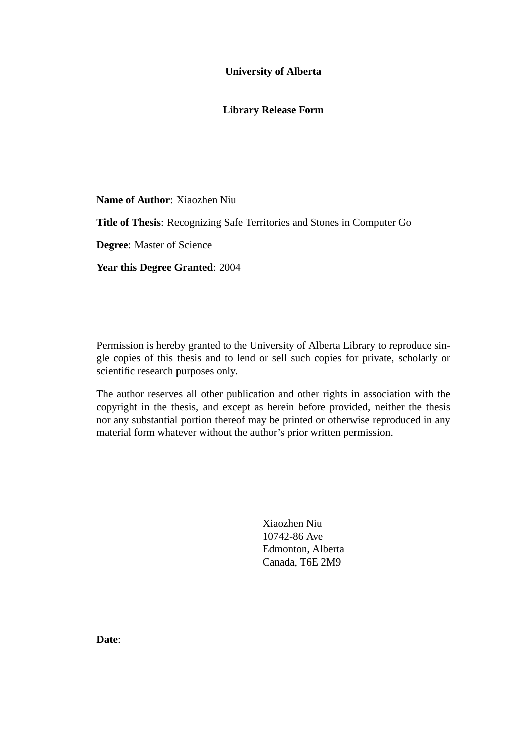#### **University of Alberta**

#### **Library Release Form**

**Name of Author**: Xiaozhen Niu

**Title of Thesis**: Recognizing Safe Territories and Stones in Computer Go

**Degree**: Master of Science

**Year this Degree Granted**: 2004

Permission is hereby granted to the University of Alberta Library to reproduce single copies of this thesis and to lend or sell such copies for private, scholarly or scientific research purposes only.

The author reserves all other publication and other rights in association with the copyright in the thesis, and except as herein before provided, neither the thesis nor any substantial portion thereof may be printed or otherwise reproduced in any material form whatever without the author's prior written permission.

> Xiaozhen Niu 10742-86 Ave Edmonton, Alberta Canada, T6E 2M9

**Date**: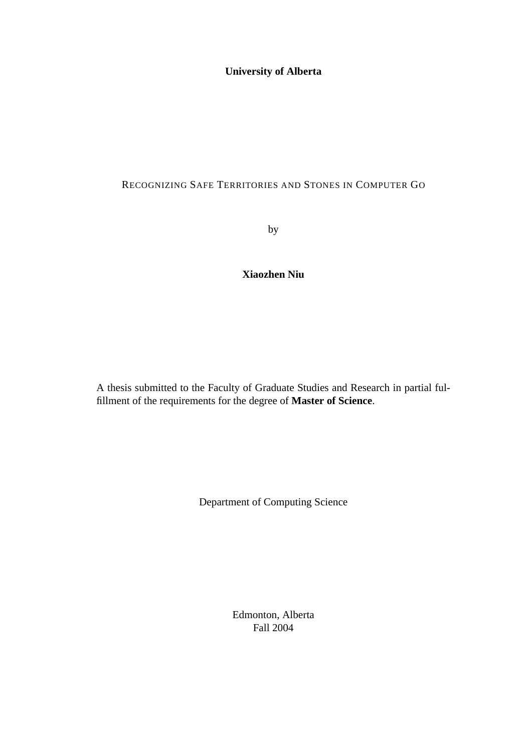#### **University of Alberta**

#### RECOGNIZING SAFE TERRITORIES AND STONES IN COMPUTER GO

by

#### **Xiaozhen Niu**

A thesis submitted to the Faculty of Graduate Studies and Research in partial fulfillment of the requirements for the degree of **Master of Science**.

Department of Computing Science

Edmonton, Alberta Fall 2004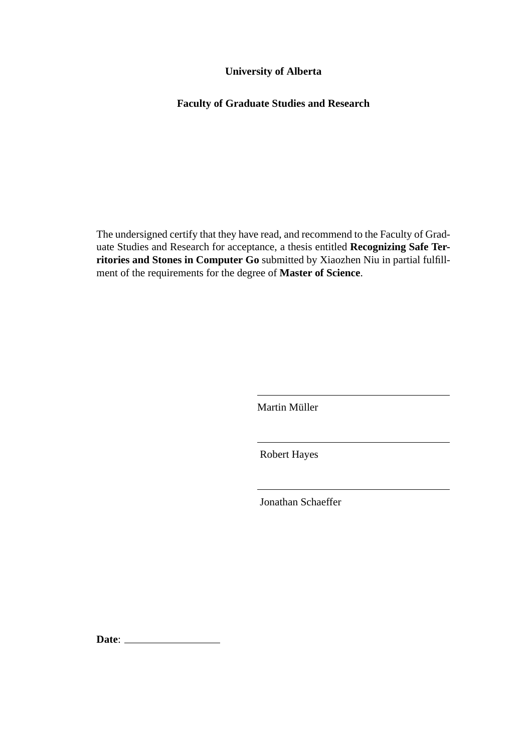#### **University of Alberta**

#### **Faculty of Graduate Studies and Research**

The undersigned certify that they have read, and recommend to the Faculty of Graduate Studies and Research for acceptance, a thesis entitled **Recognizing Safe Territories and Stones in Computer Go** submitted by Xiaozhen Niu in partial fulfillment of the requirements for the degree of **Master of Science**.

Martin Müller

Robert Hayes

Jonathan Schaeffer

**Date**: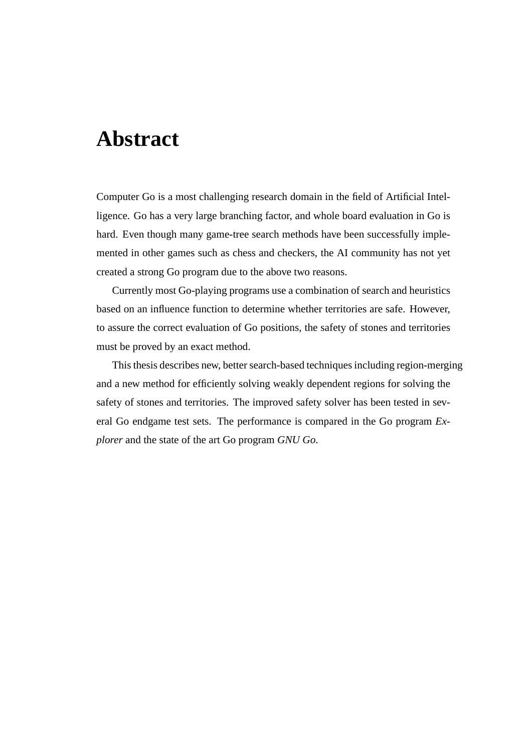### **Abstract**

Computer Go is a most challenging research domain in the field of Artificial Intelligence. Go has a very large branching factor, and whole board evaluation in Go is hard. Even though many game-tree search methods have been successfully implemented in other games such as chess and checkers, the AI community has not yet created a strong Go program due to the above two reasons.

Currently most Go-playing programs use a combination of search and heuristics based on an influence function to determine whether territories are safe. However, to assure the correct evaluation of Go positions, the safety of stones and territories must be proved by an exact method.

This thesis describes new, better search-based techniques including region-merging and a new method for efficiently solving weakly dependent regions for solving the safety of stones and territories. The improved safety solver has been tested in several Go endgame test sets. The performance is compared in the Go program *Explorer* and the state of the art Go program *GNU Go*.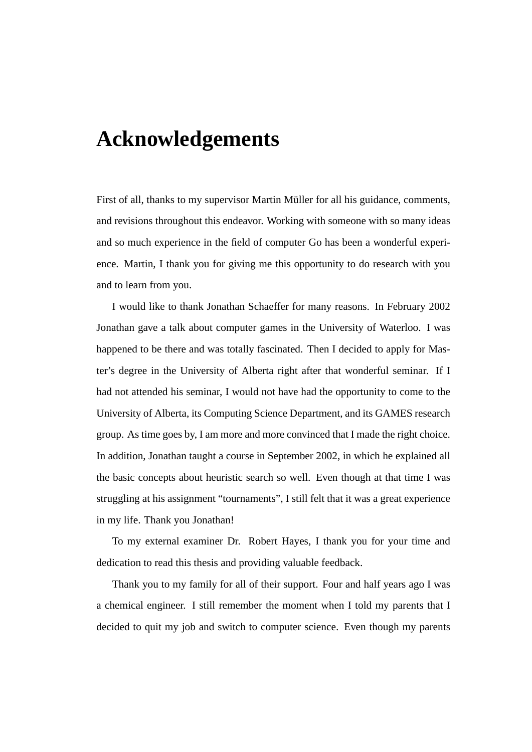### **Acknowledgements**

First of all, thanks to my supervisor Martin Müller for all his guidance, comments, and revisions throughout this endeavor. Working with someone with so many ideas and so much experience in the field of computer Go has been a wonderful experience. Martin, I thank you for giving me this opportunity to do research with you and to learn from you.

I would like to thank Jonathan Schaeffer for many reasons. In February 2002 Jonathan gave a talk about computer games in the University of Waterloo. I was happened to be there and was totally fascinated. Then I decided to apply for Master's degree in the University of Alberta right after that wonderful seminar. If I had not attended his seminar, I would not have had the opportunity to come to the University of Alberta, its Computing Science Department, and its GAMES research group. As time goes by, I am more and more convinced that I made the right choice. In addition, Jonathan taught a course in September 2002, in which he explained all the basic concepts about heuristic search so well. Even though at that time I was struggling at his assignment "tournaments", I still felt that it was a great experience in my life. Thank you Jonathan!

To my external examiner Dr. Robert Hayes, I thank you for your time and dedication to read this thesis and providing valuable feedback.

Thank you to my family for all of their support. Four and half years ago I was a chemical engineer. I still remember the moment when I told my parents that I decided to quit my job and switch to computer science. Even though my parents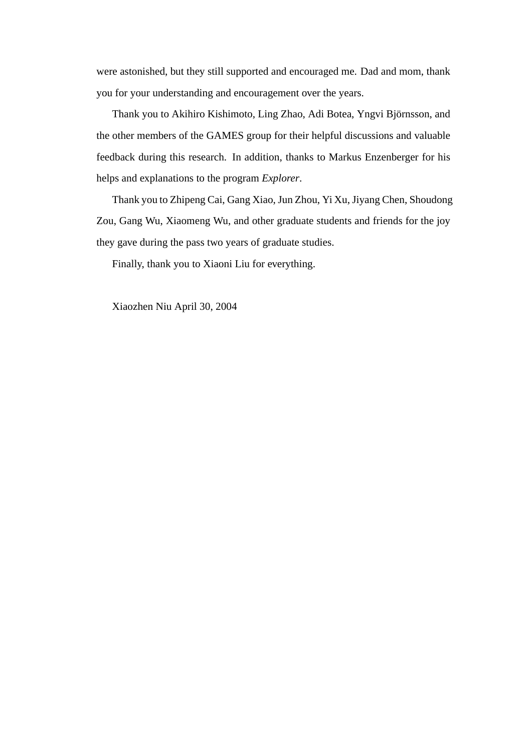were astonished, but they still supported and encouraged me. Dad and mom, thank you for your understanding and encouragement over the years.

Thank you to Akihiro Kishimoto, Ling Zhao, Adi Botea, Yngvi Björnsson, and the other members of the GAMES group for their helpful discussions and valuable feedback during this research. In addition, thanks to Markus Enzenberger for his helps and explanations to the program *Explorer*.

Thank you to Zhipeng Cai, Gang Xiao, Jun Zhou, Yi Xu, Jiyang Chen, Shoudong Zou, Gang Wu, Xiaomeng Wu, and other graduate students and friends for the joy they gave during the pass two years of graduate studies.

Finally, thank you to Xiaoni Liu for everything.

Xiaozhen Niu April 30, 2004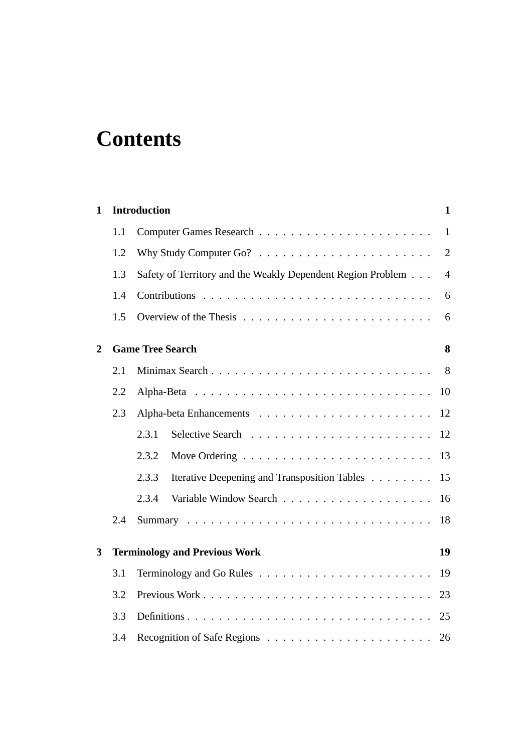# **Contents**

| 1              |     | <b>Introduction</b>                                         | $\mathbf{1}$   |
|----------------|-----|-------------------------------------------------------------|----------------|
|                | 1.1 |                                                             | $\mathbf{1}$   |
|                | 1.2 |                                                             | $\overline{2}$ |
|                | 1.3 | Safety of Territory and the Weakly Dependent Region Problem | $\overline{4}$ |
|                | 1.4 |                                                             | 6              |
|                | 1.5 |                                                             | 6              |
| $\overline{2}$ |     | <b>Game Tree Search</b>                                     | 8              |
|                | 2.1 |                                                             | 8 <sup>8</sup> |
|                | 2.2 |                                                             | 10             |
|                | 2.3 |                                                             | 12             |
|                |     | 2.3.1                                                       | 12             |
|                |     | 2.3.2                                                       | 13             |
|                |     | 2.3.3<br>Iterative Deepening and Transposition Tables       | 15             |
|                |     | 2.3.4                                                       | 16             |
|                | 2.4 |                                                             | 18             |
| 3              |     | <b>Terminology and Previous Work</b>                        | 19             |
|                | 3.1 |                                                             | 19             |
|                | 3.2 |                                                             | 23             |
|                | 3.3 |                                                             |                |
|                | 3.4 |                                                             | 26             |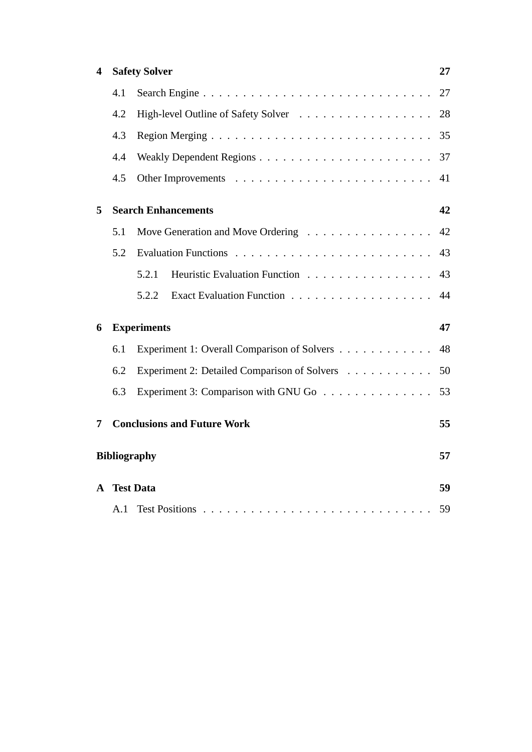| 4 |     | <b>Safety Solver</b>                         | 27 |
|---|-----|----------------------------------------------|----|
|   | 4.1 |                                              | 27 |
|   | 4.2 |                                              | 28 |
|   | 4.3 |                                              | 35 |
|   | 4.4 |                                              | 37 |
|   | 4.5 |                                              | 41 |
| 5 |     | <b>Search Enhancements</b>                   | 42 |
|   | 5.1 | Move Generation and Move Ordering            | 42 |
|   | 5.2 |                                              | 43 |
|   |     | 5.2.1<br>Heuristic Evaluation Function       | 43 |
|   |     | 5.2.2                                        | 44 |
| 6 |     | <b>Experiments</b>                           | 47 |
|   | 6.1 | Experiment 1: Overall Comparison of Solvers  | 48 |
|   | 6.2 | Experiment 2: Detailed Comparison of Solvers | 50 |
|   | 6.3 | Experiment 3: Comparison with GNU Go         | 53 |
| 7 |     | <b>Conclusions and Future Work</b>           | 55 |
|   |     | <b>Bibliography</b>                          | 57 |
| A |     | <b>Test Data</b>                             | 59 |
|   | A.1 |                                              | 59 |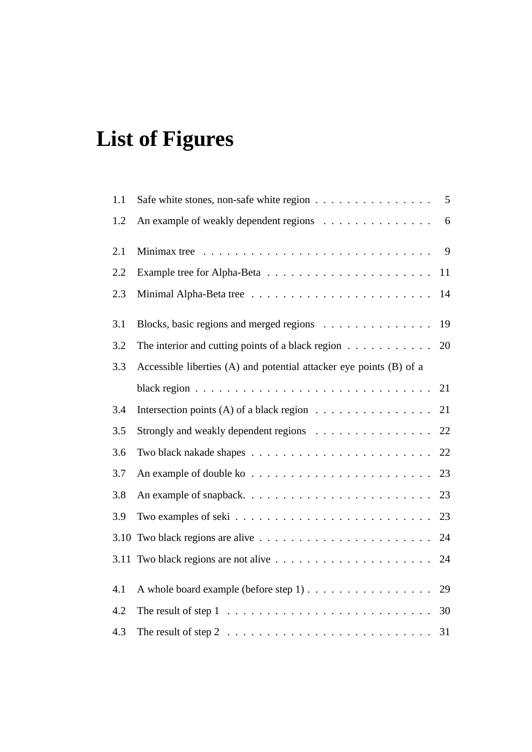# **List of Figures**

| 1.1  | Safe white stones, non-safe white region<br>5                                                 |
|------|-----------------------------------------------------------------------------------------------|
| 1.2  | An example of weakly dependent regions<br>6                                                   |
| 2.1  | 9                                                                                             |
| 2.2  | 11                                                                                            |
| 2.3  | 14                                                                                            |
| 3.1  | Blocks, basic regions and merged regions<br>19                                                |
| 3.2  | The interior and cutting points of a black region $\dots \dots \dots$<br>20                   |
| 3.3  | Accessible liberties (A) and potential attacker eye points (B) of a                           |
|      | black region $\ldots \ldots \ldots \ldots \ldots \ldots \ldots \ldots \ldots \ldots$          |
| 3.4  | Intersection points (A) of a black region $\ldots \ldots \ldots \ldots \ldots 21$             |
| 3.5  | Strongly and weakly dependent regions<br>22                                                   |
| 3.6  | 22                                                                                            |
| 3.7  |                                                                                               |
| 3.8  |                                                                                               |
| 3.9  | Two examples of seki $\ldots \ldots \ldots \ldots \ldots \ldots \ldots \ldots \ldots 23$      |
| 3.10 | 24                                                                                            |
|      | 3.11 Two black regions are not alive $\ldots \ldots \ldots \ldots \ldots \ldots \ldots$<br>24 |
| 4.1  | 29                                                                                            |
| 4.2  | The result of step $1 \ldots \ldots \ldots \ldots \ldots \ldots \ldots \ldots$<br>30          |
| 4.3  | 31                                                                                            |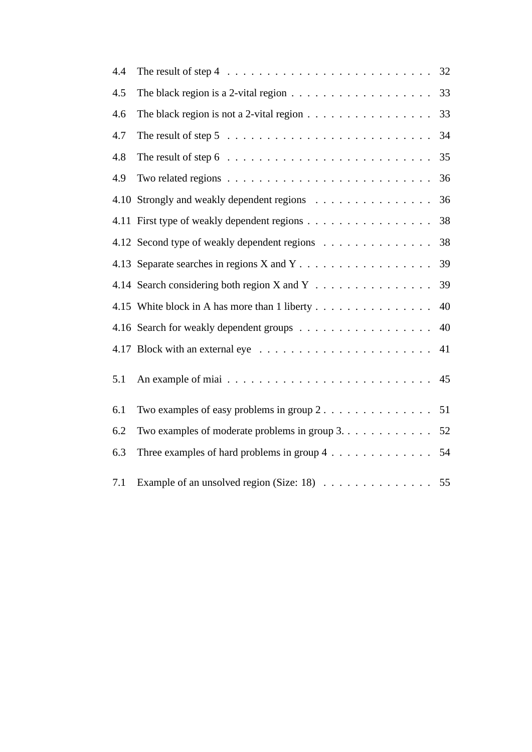| 4.4  | The result of step $4 \ldots \ldots \ldots \ldots \ldots \ldots \ldots \ldots \ldots 32$ |    |
|------|------------------------------------------------------------------------------------------|----|
| 4.5  | The black region is a 2-vital region $\ldots \ldots \ldots \ldots \ldots \ldots$         | 33 |
| 4.6  | The black region is not a 2-vital region $\dots \dots \dots \dots \dots \dots$           | 33 |
| 4.7  |                                                                                          | 34 |
| 4.8  | The result of step $6 \ldots \ldots \ldots \ldots \ldots \ldots \ldots \ldots \ldots$    | 35 |
| 4.9  | Two related regions $\ldots \ldots \ldots \ldots \ldots \ldots \ldots \ldots \ldots$     | 36 |
| 4.10 |                                                                                          | 36 |
|      | 4.11 First type of weakly dependent regions                                              | 38 |
|      | 4.12 Second type of weakly dependent regions                                             | 38 |
|      |                                                                                          | 39 |
|      |                                                                                          | 39 |
|      | 4.15 White block in A has more than 1 liberty                                            | 40 |
|      |                                                                                          | 40 |
|      |                                                                                          | 41 |
| 5.1  |                                                                                          |    |
| 6.1  | Two examples of easy problems in group $2 \ldots \ldots \ldots \ldots \ldots 51$         |    |
| 6.2  | Two examples of moderate problems in group 3. 52                                         |    |
| 6.3  | Three examples of hard problems in group $4 \ldots \ldots \ldots \ldots 54$              |    |
| 7.1  | Example of an unsolved region (Size: 18) 55                                              |    |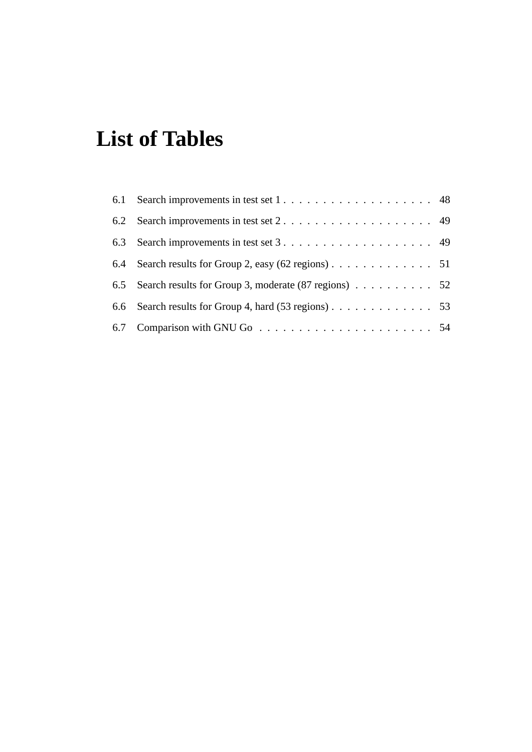# **List of Tables**

| 6.3 |                                                                                       |  |
|-----|---------------------------------------------------------------------------------------|--|
| 6.4 | Search results for Group 2, easy (62 regions) $\ldots \ldots \ldots \ldots \ldots$ 51 |  |
|     | 6.5 Search results for Group 3, moderate (87 regions) 52                              |  |
|     | 6.6 Search results for Group 4, hard (53 regions) 53                                  |  |
|     |                                                                                       |  |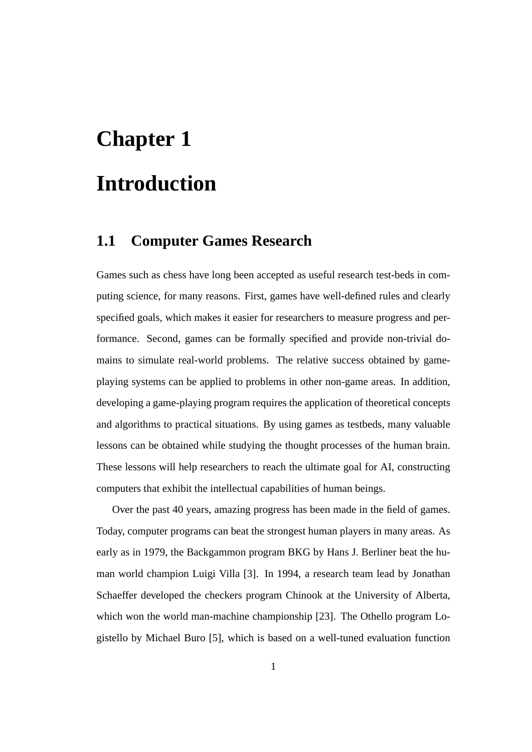# **Chapter 1 Introduction**

#### **1.1 Computer Games Research**

Games such as chess have long been accepted as useful research test-beds in computing science, for many reasons. First, games have well-defined rules and clearly specified goals, which makes it easier for researchers to measure progress and performance. Second, games can be formally specified and provide non-trivial domains to simulate real-world problems. The relative success obtained by gameplaying systems can be applied to problems in other non-game areas. In addition, developing a game-playing program requires the application of theoretical concepts and algorithms to practical situations. By using games as testbeds, many valuable lessons can be obtained while studying the thought processes of the human brain. These lessons will help researchers to reach the ultimate goal for AI, constructing computers that exhibit the intellectual capabilities of human beings.

Over the past 40 years, amazing progress has been made in the field of games. Today, computer programs can beat the strongest human players in many areas. As early as in 1979, the Backgammon program BKG by Hans J. Berliner beat the human world champion Luigi Villa [3]. In 1994, a research team lead by Jonathan Schaeffer developed the checkers program Chinook at the University of Alberta, which won the world man-machine championship [23]. The Othello program Logistello by Michael Buro [5], which is based on a well-tuned evaluation function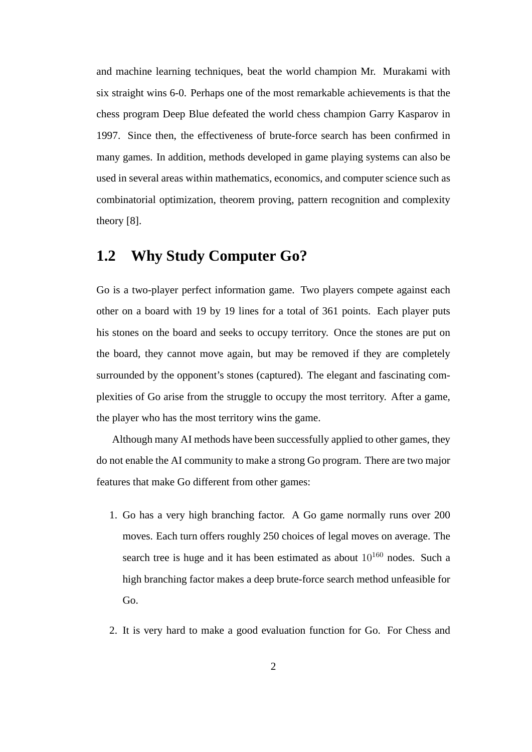and machine learning techniques, beat the world champion Mr. Murakami with six straight wins 6-0. Perhaps one of the most remarkable achievements is that the chess program Deep Blue defeated the world chess champion Garry Kasparov in 1997. Since then, the effectiveness of brute-force search has been confirmed in many games. In addition, methods developed in game playing systems can also be used in several areas within mathematics, economics, and computer science such as combinatorial optimization, theorem proving, pattern recognition and complexity theory [8].

#### **1.2 Why Study Computer Go?**

Go is a two-player perfect information game. Two players compete against each other on a board with 19 by 19 lines for a total of 361 points. Each player puts his stones on the board and seeks to occupy territory. Once the stones are put on the board, they cannot move again, but may be removed if they are completely surrounded by the opponent's stones (captured). The elegant and fascinating complexities of Go arise from the struggle to occupy the most territory. After a game, the player who has the most territory wins the game.

Although many AI methods have been successfully applied to other games, they do not enable the AI community to make a strong Go program. There are two major features that make Go different from other games:

- 1. Go has a very high branching factor. A Go game normally runs over 200 moves. Each turn offers roughly 250 choices of legal moves on average. The search tree is huge and it has been estimated as about  $10^{160}$  nodes. Such a high branching factor makes a deep brute-force search method unfeasible for Go.
- 2. It is very hard to make a good evaluation function for Go. For Chess and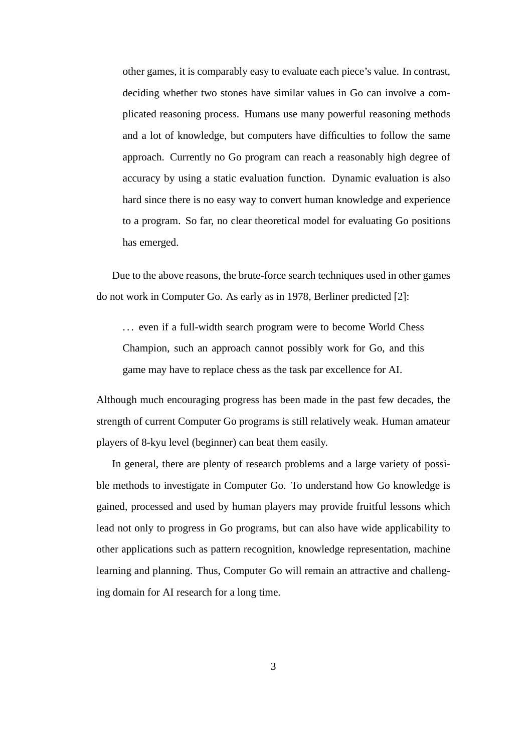other games, it is comparably easy to evaluate each piece's value. In contrast, deciding whether two stones have similar values in Go can involve a complicated reasoning process. Humans use many powerful reasoning methods and a lot of knowledge, but computers have difficulties to follow the same approach. Currently no Go program can reach a reasonably high degree of accuracy by using a static evaluation function. Dynamic evaluation is also hard since there is no easy way to convert human knowledge and experience to a program. So far, no clear theoretical model for evaluating Go positions has emerged.

Due to the above reasons, the brute-force search techniques used in other games do not work in Computer Go. As early as in 1978, Berliner predicted [2]:

... even if a full-width search program were to become World Chess Champion, such an approach cannot possibly work for Go, and this game may have to replace chess as the task par excellence for AI.

Although much encouraging progress has been made in the past few decades, the strength of current Computer Go programs is still relatively weak. Human amateur players of 8-kyu level (beginner) can beat them easily.

In general, there are plenty of research problems and a large variety of possible methods to investigate in Computer Go. To understand how Go knowledge is gained, processed and used by human players may provide fruitful lessons which lead not only to progress in Go programs, but can also have wide applicability to other applications such as pattern recognition, knowledge representation, machine learning and planning. Thus, Computer Go will remain an attractive and challenging domain for AI research for a long time.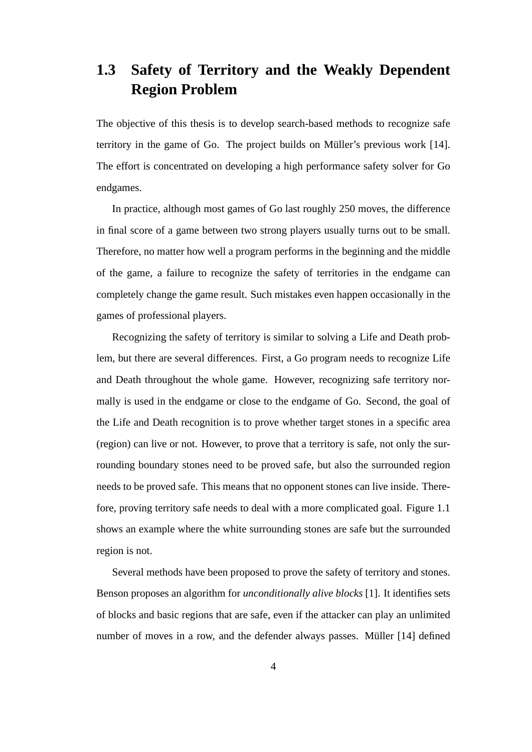#### **1.3 Safety of Territory and the Weakly Dependent Region Problem**

The objective of this thesis is to develop search-based methods to recognize safe territory in the game of Go. The project builds on Müller's previous work [14]. The effort is concentrated on developing a high performance safety solver for Go endgames.

In practice, although most games of Go last roughly 250 moves, the difference in final score of a game between two strong players usually turns out to be small. Therefore, no matter how well a program performs in the beginning and the middle of the game, a failure to recognize the safety of territories in the endgame can completely change the game result. Such mistakes even happen occasionally in the games of professional players.

Recognizing the safety of territory is similar to solving a Life and Death problem, but there are several differences. First, a Go program needs to recognize Life and Death throughout the whole game. However, recognizing safe territory normally is used in the endgame or close to the endgame of Go. Second, the goal of the Life and Death recognition is to prove whether target stones in a specific area (region) can live or not. However, to prove that a territory is safe, not only the surrounding boundary stones need to be proved safe, but also the surrounded region needs to be proved safe. This means that no opponent stones can live inside. Therefore, proving territory safe needs to deal with a more complicated goal. Figure 1.1 shows an example where the white surrounding stones are safe but the surrounded region is not.

Several methods have been proposed to prove the safety of territory and stones. Benson proposes an algorithm for *unconditionally alive blocks* [1]. It identifies sets of blocks and basic regions that are safe, even if the attacker can play an unlimited number of moves in a row, and the defender always passes. Müller [14] defined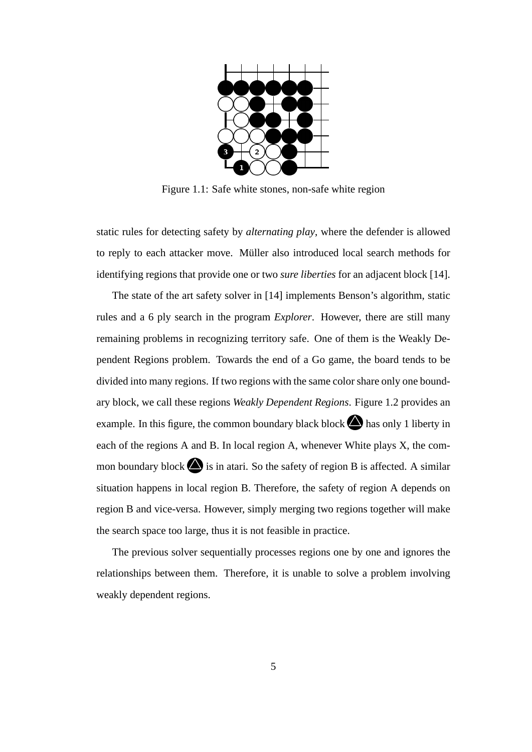

Figure 1.1: Safe white stones, non-safe white region

static rules for detecting safety by *alternating play*, where the defender is allowed to reply to each attacker move. Müller also introduced local search methods for identifying regions that provide one or two *sure liberties* for an adjacent block [14].

The state of the art safety solver in [14] implements Benson's algorithm, static rules and a 6 ply search in the program *Explorer*. However, there are still many remaining problems in recognizing territory safe. One of them is the Weakly Dependent Regions problem. Towards the end of a Go game, the board tends to be divided into many regions. If two regions with the same color share only one boundary block, we call these regions *Weakly Dependent Regions*. Figure 1.2 provides an example. In this figure, the common boundary black block  $\bigotimes$  has only 1 liberty in each of the regions A and B. In local region A, whenever White plays X, the common boundary block  $\bigotimes$  is in atari. So the safety of region B is affected. A similar situation happens in local region B. Therefore, the safety of region A depends on region B and vice-versa. However, simply merging two regions together will make the search space too large, thus it is not feasible in practice.

The previous solver sequentially processes regions one by one and ignores the relationships between them. Therefore, it is unable to solve a problem involving weakly dependent regions.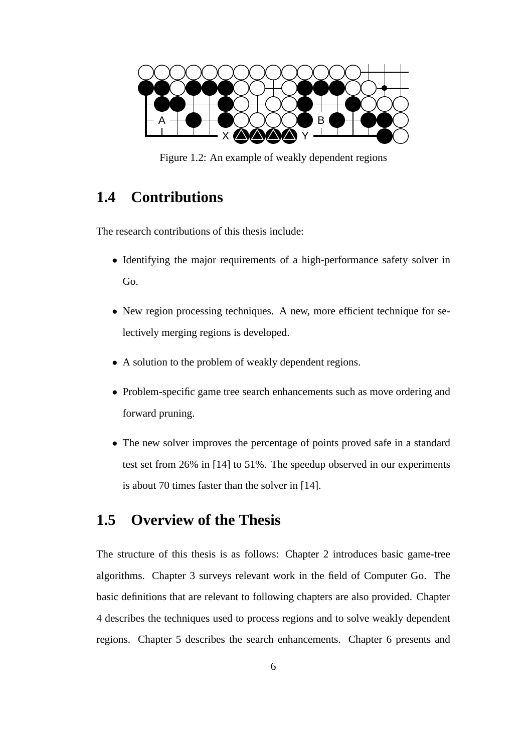

Figure 1.2: An example of weakly dependent regions

#### **1.4 Contributions**

The research contributions of this thesis include:

- Identifying the major requirements of a high-performance safety solver in Go.
- New region processing techniques. A new, more efficient technique for selectively merging regions is developed.
- A solution to the problem of weakly dependent regions.
- Problem-specific game tree search enhancements such as move ordering and forward pruning.
- The new solver improves the percentage of points proved safe in a standard test set from 26% in [14] to 51%. The speedup observed in our experiments is about 70 times faster than the solver in [14].

#### **1.5 Overview of the Thesis**

The structure of this thesis is as follows: Chapter 2 introduces basic game-tree algorithms. Chapter 3 surveys relevant work in the field of Computer Go. The basic definitions that are relevant to following chapters are also provided. Chapter 4 describes the techniques used to process regions and to solve weakly dependent regions. Chapter 5 describes the search enhancements. Chapter 6 presents and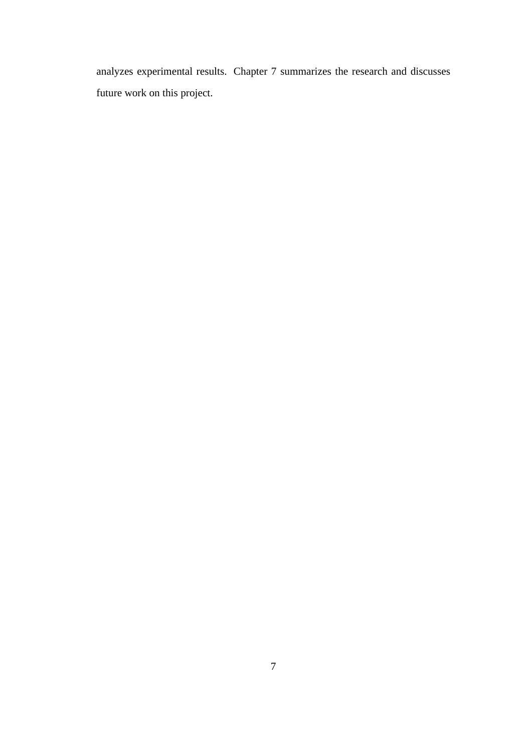analyzes experimental results. Chapter 7 summarizes the research and discusses future work on this project.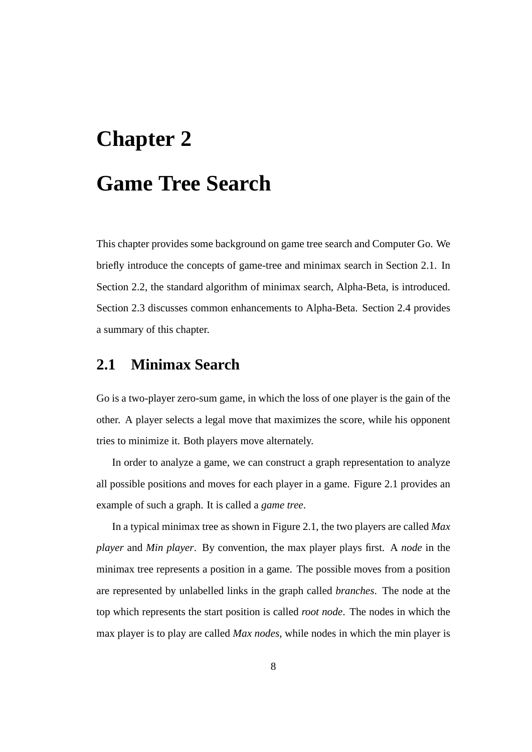# **Chapter 2 Game Tree Search**

This chapter provides some background on game tree search and Computer Go. We briefly introduce the concepts of game-tree and minimax search in Section 2.1. In Section 2.2, the standard algorithm of minimax search, Alpha-Beta, is introduced. Section 2.3 discusses common enhancements to Alpha-Beta. Section 2.4 provides a summary of this chapter.

#### **2.1 Minimax Search**

Go is a two-player zero-sum game, in which the loss of one player is the gain of the other. A player selects a legal move that maximizes the score, while his opponent tries to minimize it. Both players move alternately.

In order to analyze a game, we can construct a graph representation to analyze all possible positions and moves for each player in a game. Figure 2.1 provides an example of such a graph. It is called a *game tree*.

In a typical minimax tree as shown in Figure 2.1, the two players are called *Max player* and *Min player*. By convention, the max player plays first. A *node* in the minimax tree represents a position in a game. The possible moves from a position are represented by unlabelled links in the graph called *branches*. The node at the top which represents the start position is called *root node*. The nodes in which the max player is to play are called *Max nodes*, while nodes in which the min player is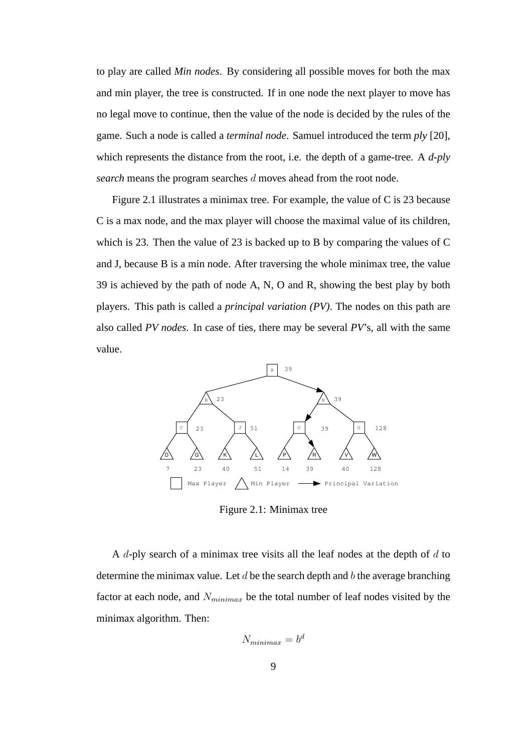to play are called *Min nodes*. By considering all possible moves for both the max and min player, the tree is constructed. If in one node the next player to move has no legal move to continue, then the value of the node is decided by the rules of the game. Such a node is called a *terminal node*. Samuel introduced the term *ply* [20], which represents the distance from the root, i.e. the depth of a game-tree. A *d-ply search* means the program searches d moves ahead from the root node.

Figure 2.1 illustrates a minimax tree. For example, the value of C is 23 because C is a max node, and the max player will choose the maximal value of its children, which is 23. Then the value of 23 is backed up to B by comparing the values of C and J, because B is a min node. After traversing the whole minimax tree, the value 39 is achieved by the path of node A, N, O and R, showing the best play by both players. This path is called a *principal variation (PV)*. The nodes on this path are also called *PV nodes*. In case of ties, there may be several *PV*'s, all with the same value.



Figure 2.1: Minimax tree

A  $d$ -ply search of a minimax tree visits all the leaf nodes at the depth of  $d$  to determine the minimax value. Let  $d$  be the search depth and  $b$  the average branching factor at each node, and  $N_{minimax}$  be the total number of leaf nodes visited by the minimax algorithm. Then:

$$
N_{minimax} = b^d
$$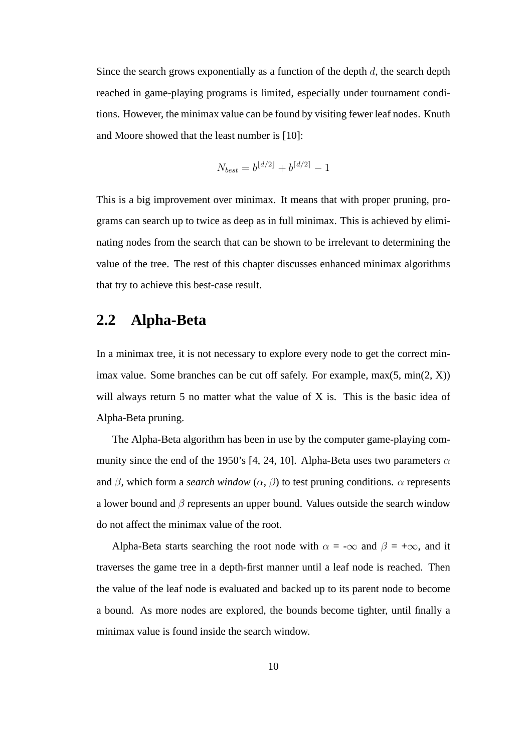Since the search grows exponentially as a function of the depth  $d$ , the search depth reached in game-playing programs is limited, especially under tournament conditions. However, the minimax value can be found by visiting fewer leaf nodes. Knuth and Moore showed that the least number is [10]:

$$
N_{best} = b^{\lfloor d/2 \rfloor} + b^{\lceil d/2 \rceil} - 1
$$

This is a big improvement over minimax. It means that with proper pruning, programs can search up to twice as deep as in full minimax. This is achieved by eliminating nodes from the search that can be shown to be irrelevant to determining the value of the tree. The rest of this chapter discusses enhanced minimax algorithms that try to achieve this best-case result.

#### **2.2 Alpha-Beta**

In a minimax tree, it is not necessary to explore every node to get the correct minimax value. Some branches can be cut off safely. For example,  $max(5, min(2, X))$ will always return 5 no matter what the value of X is. This is the basic idea of Alpha-Beta pruning.

The Alpha-Beta algorithm has been in use by the computer game-playing community since the end of the 1950's [4, 24, 10]. Alpha-Beta uses two parameters  $\alpha$ and  $\beta$ , which form a *search window* ( $\alpha$ ,  $\beta$ ) to test pruning conditions.  $\alpha$  represents a lower bound and  $\beta$  represents an upper bound. Values outside the search window do not affect the minimax value of the root.

Alpha-Beta starts searching the root node with  $\alpha = -\infty$  and  $\beta = +\infty$ , and it traverses the game tree in a depth-first manner until a leaf node is reached. Then the value of the leaf node is evaluated and backed up to its parent node to become a bound. As more nodes are explored, the bounds become tighter, until finally a minimax value is found inside the search window.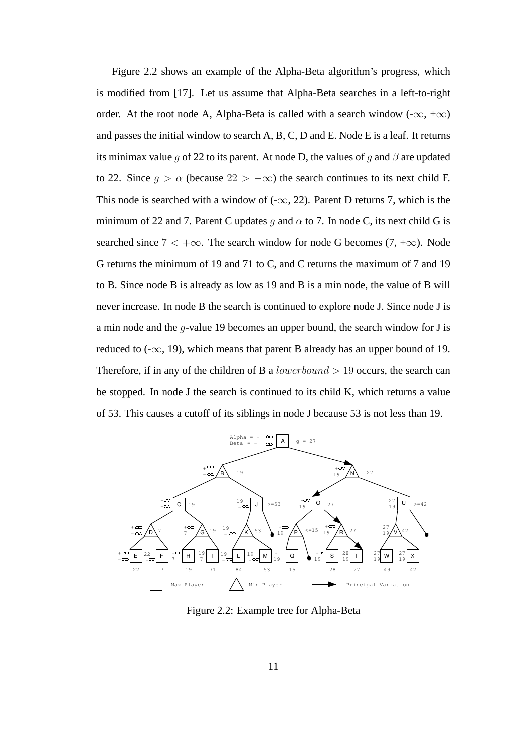Figure 2.2 shows an example of the Alpha-Beta algorithm's progress, which is modified from [17]. Let us assume that Alpha-Beta searches in a left-to-right order. At the root node A, Alpha-Beta is called with a search window  $(-\infty, +\infty)$ and passes the initial window to search A, B, C, D and E. Node E is a leaf. It returns its minimax value g of 22 to its parent. At node D, the values of g and  $\beta$  are updated to 22. Since  $g > \alpha$  (because  $22 > -\infty$ ) the search continues to its next child F. This node is searched with a window of  $(-\infty, 22)$ . Parent D returns 7, which is the minimum of 22 and 7. Parent C updates q and  $\alpha$  to 7. In node C, its next child G is searched since  $7 < +\infty$ . The search window for node G becomes (7, + $\infty$ ). Node G returns the minimum of 19 and 71 to C, and C returns the maximum of 7 and 19 to B. Since node B is already as low as 19 and B is a min node, the value of B will never increase. In node B the search is continued to explore node J. Since node J is a min node and the  $q$ -value 19 becomes an upper bound, the search window for J is reduced to ( $-\infty$ , 19), which means that parent B already has an upper bound of 19. Therefore, if in any of the children of B a *lowerbound*  $> 19$  occurs, the search can be stopped. In node J the search is continued to its child K, which returns a value of 53. This causes a cutoff of its siblings in node J because 53 is not less than 19.



Figure 2.2: Example tree for Alpha-Beta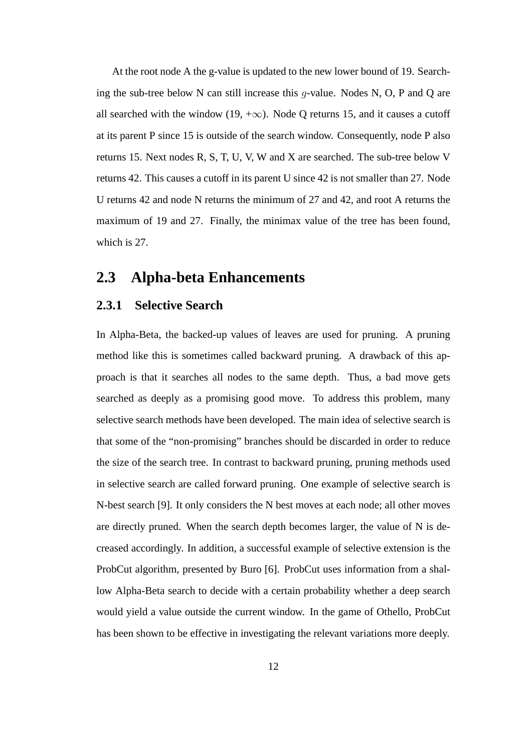At the root node A the g-value is updated to the new lower bound of 19. Searching the sub-tree below N can still increase this g-value. Nodes N, O, P and Q are all searched with the window (19, + $\infty$ ). Node Q returns 15, and it causes a cutoff at its parent P since 15 is outside of the search window. Consequently, node P also returns 15. Next nodes R, S, T, U, V, W and X are searched. The sub-tree below V returns 42. This causes a cutoff in its parent U since 42 is not smaller than 27. Node U returns 42 and node N returns the minimum of 27 and 42, and root A returns the maximum of 19 and 27. Finally, the minimax value of the tree has been found, which is 27.

#### **2.3 Alpha-beta Enhancements**

#### **2.3.1 Selective Search**

In Alpha-Beta, the backed-up values of leaves are used for pruning. A pruning method like this is sometimes called backward pruning. A drawback of this approach is that it searches all nodes to the same depth. Thus, a bad move gets searched as deeply as a promising good move. To address this problem, many selective search methods have been developed. The main idea of selective search is that some of the "non-promising" branches should be discarded in order to reduce the size of the search tree. In contrast to backward pruning, pruning methods used in selective search are called forward pruning. One example of selective search is N-best search [9]. It only considers the N best moves at each node; all other moves are directly pruned. When the search depth becomes larger, the value of N is decreased accordingly. In addition, a successful example of selective extension is the ProbCut algorithm, presented by Buro [6]. ProbCut uses information from a shallow Alpha-Beta search to decide with a certain probability whether a deep search would yield a value outside the current window. In the game of Othello, ProbCut has been shown to be effective in investigating the relevant variations more deeply.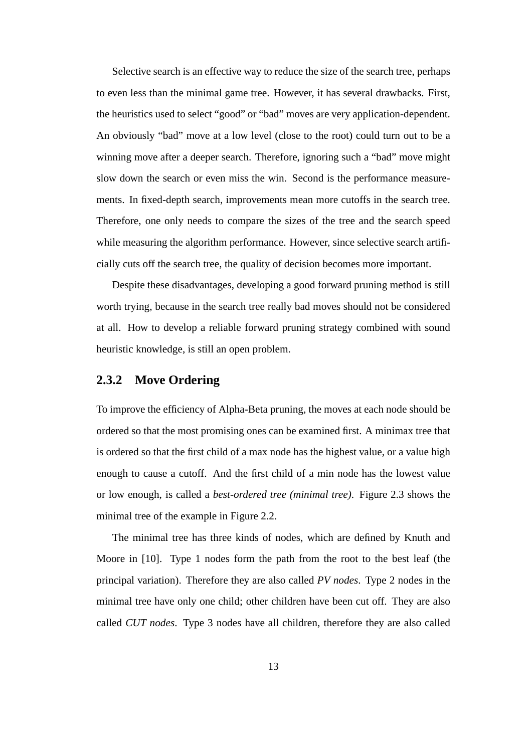Selective search is an effective way to reduce the size of the search tree, perhaps to even less than the minimal game tree. However, it has several drawbacks. First, the heuristics used to select "good" or "bad" moves are very application-dependent. An obviously "bad" move at a low level (close to the root) could turn out to be a winning move after a deeper search. Therefore, ignoring such a "bad" move might slow down the search or even miss the win. Second is the performance measurements. In fixed-depth search, improvements mean more cutoffs in the search tree. Therefore, one only needs to compare the sizes of the tree and the search speed while measuring the algorithm performance. However, since selective search artificially cuts off the search tree, the quality of decision becomes more important.

Despite these disadvantages, developing a good forward pruning method is still worth trying, because in the search tree really bad moves should not be considered at all. How to develop a reliable forward pruning strategy combined with sound heuristic knowledge, is still an open problem.

#### **2.3.2 Move Ordering**

To improve the efficiency of Alpha-Beta pruning, the moves at each node should be ordered so that the most promising ones can be examined first. A minimax tree that is ordered so that the first child of a max node has the highest value, or a value high enough to cause a cutoff. And the first child of a min node has the lowest value or low enough, is called a *best-ordered tree (minimal tree)*. Figure 2.3 shows the minimal tree of the example in Figure 2.2.

The minimal tree has three kinds of nodes, which are defined by Knuth and Moore in [10]. Type 1 nodes form the path from the root to the best leaf (the principal variation). Therefore they are also called *PV nodes*. Type 2 nodes in the minimal tree have only one child; other children have been cut off. They are also called *CUT nodes*. Type 3 nodes have all children, therefore they are also called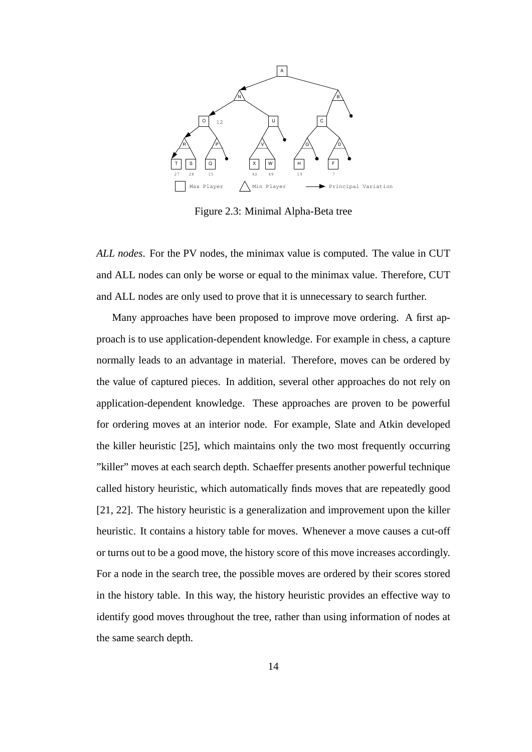

Figure 2.3: Minimal Alpha-Beta tree

*ALL nodes*. For the PV nodes, the minimax value is computed. The value in CUT and ALL nodes can only be worse or equal to the minimax value. Therefore, CUT and ALL nodes are only used to prove that it is unnecessary to search further.

Many approaches have been proposed to improve move ordering. A first approach is to use application-dependent knowledge. For example in chess, a capture normally leads to an advantage in material. Therefore, moves can be ordered by the value of captured pieces. In addition, several other approaches do not rely on application-dependent knowledge. These approaches are proven to be powerful for ordering moves at an interior node. For example, Slate and Atkin developed the killer heuristic [25], which maintains only the two most frequently occurring "killer" moves at each search depth. Schaeffer presents another powerful technique called history heuristic, which automatically finds moves that are repeatedly good [21, 22]. The history heuristic is a generalization and improvement upon the killer heuristic. It contains a history table for moves. Whenever a move causes a cut-off or turns out to be a good move, the history score of this move increases accordingly. For a node in the search tree, the possible moves are ordered by their scores stored in the history table. In this way, the history heuristic provides an effective way to identify good moves throughout the tree, rather than using information of nodes at the same search depth.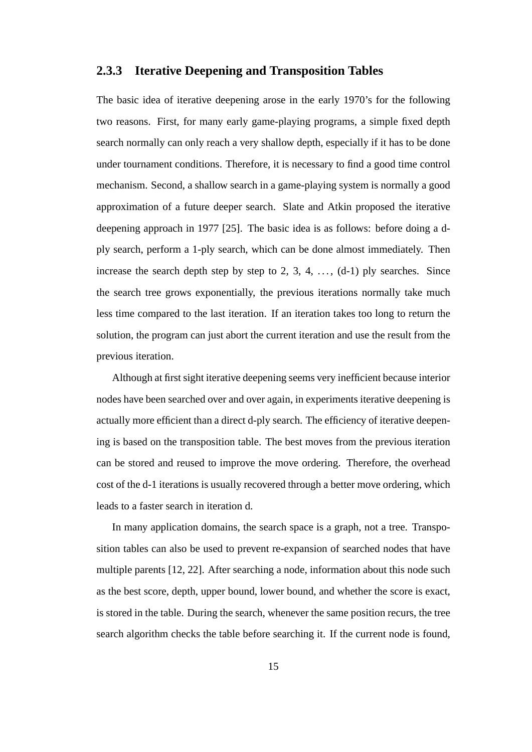#### **2.3.3 Iterative Deepening and Transposition Tables**

The basic idea of iterative deepening arose in the early 1970's for the following two reasons. First, for many early game-playing programs, a simple fixed depth search normally can only reach a very shallow depth, especially if it has to be done under tournament conditions. Therefore, it is necessary to find a good time control mechanism. Second, a shallow search in a game-playing system is normally a good approximation of a future deeper search. Slate and Atkin proposed the iterative deepening approach in 1977 [25]. The basic idea is as follows: before doing a dply search, perform a 1-ply search, which can be done almost immediately. Then increase the search depth step by step to 2, 3, 4,  $\dots$ , (d-1) ply searches. Since the search tree grows exponentially, the previous iterations normally take much less time compared to the last iteration. If an iteration takes too long to return the solution, the program can just abort the current iteration and use the result from the previous iteration.

Although at first sight iterative deepening seems very inefficient because interior nodes have been searched over and over again, in experiments iterative deepening is actually more efficient than a direct d-ply search. The efficiency of iterative deepening is based on the transposition table. The best moves from the previous iteration can be stored and reused to improve the move ordering. Therefore, the overhead cost of the d-1 iterations is usually recovered through a better move ordering, which leads to a faster search in iteration d.

In many application domains, the search space is a graph, not a tree. Transposition tables can also be used to prevent re-expansion of searched nodes that have multiple parents [12, 22]. After searching a node, information about this node such as the best score, depth, upper bound, lower bound, and whether the score is exact, is stored in the table. During the search, whenever the same position recurs, the tree search algorithm checks the table before searching it. If the current node is found,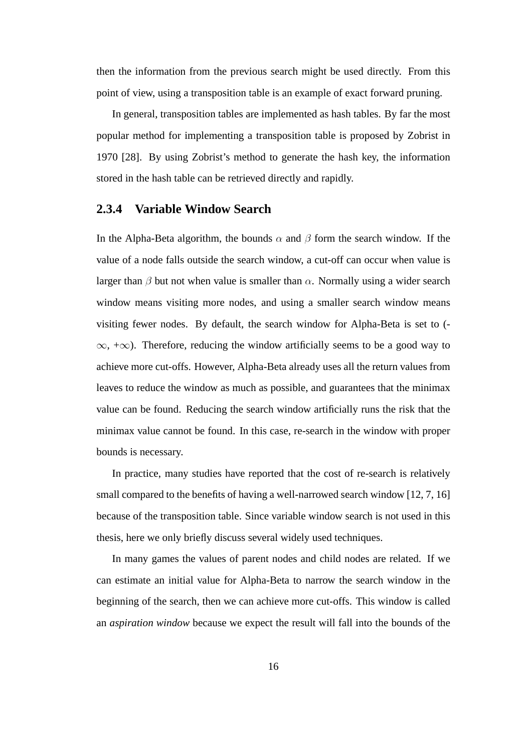then the information from the previous search might be used directly. From this point of view, using a transposition table is an example of exact forward pruning.

In general, transposition tables are implemented as hash tables. By far the most popular method for implementing a transposition table is proposed by Zobrist in 1970 [28]. By using Zobrist's method to generate the hash key, the information stored in the hash table can be retrieved directly and rapidly.

#### **2.3.4 Variable Window Search**

In the Alpha-Beta algorithm, the bounds  $\alpha$  and  $\beta$  form the search window. If the value of a node falls outside the search window, a cut-off can occur when value is larger than  $\beta$  but not when value is smaller than  $\alpha$ . Normally using a wider search window means visiting more nodes, and using a smaller search window means visiting fewer nodes. By default, the search window for Alpha-Beta is set to (-  $\infty$ , + $\infty$ ). Therefore, reducing the window artificially seems to be a good way to achieve more cut-offs. However, Alpha-Beta already uses all the return values from leaves to reduce the window as much as possible, and guarantees that the minimax value can be found. Reducing the search window artificially runs the risk that the minimax value cannot be found. In this case, re-search in the window with proper bounds is necessary.

In practice, many studies have reported that the cost of re-search is relatively small compared to the benefits of having a well-narrowed search window [12, 7, 16] because of the transposition table. Since variable window search is not used in this thesis, here we only briefly discuss several widely used techniques.

In many games the values of parent nodes and child nodes are related. If we can estimate an initial value for Alpha-Beta to narrow the search window in the beginning of the search, then we can achieve more cut-offs. This window is called an *aspiration window* because we expect the result will fall into the bounds of the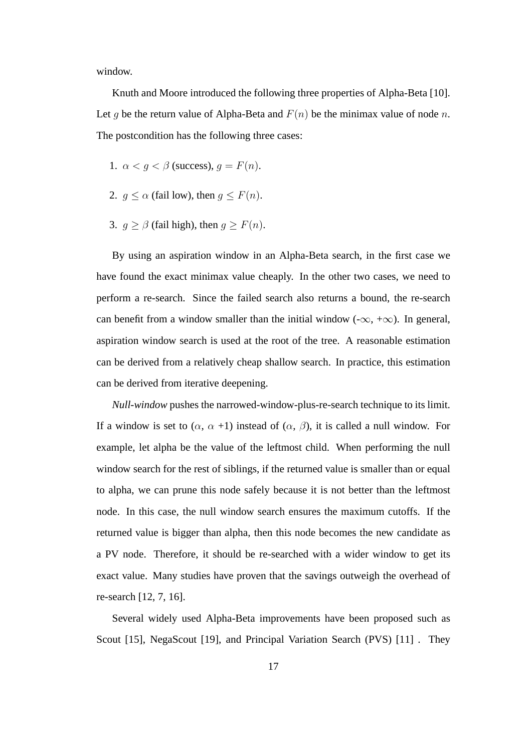window.

Knuth and Moore introduced the following three properties of Alpha-Beta [10]. Let g be the return value of Alpha-Beta and  $F(n)$  be the minimax value of node n. The postcondition has the following three cases:

- 1.  $\alpha < g < \beta$  (success),  $g = F(n)$ .
- 2.  $g \le \alpha$  (fail low), then  $g \le F(n)$ .
- 3.  $g \ge \beta$  (fail high), then  $g \ge F(n)$ .

By using an aspiration window in an Alpha-Beta search, in the first case we have found the exact minimax value cheaply. In the other two cases, we need to perform a re-search. Since the failed search also returns a bound, the re-search can benefit from a window smaller than the initial window  $(-\infty, +\infty)$ . In general, aspiration window search is used at the root of the tree. A reasonable estimation can be derived from a relatively cheap shallow search. In practice, this estimation can be derived from iterative deepening.

*Null-window* pushes the narrowed-window-plus-re-search technique to its limit. If a window is set to  $(\alpha, \alpha +1)$  instead of  $(\alpha, \beta)$ , it is called a null window. For example, let alpha be the value of the leftmost child. When performing the null window search for the rest of siblings, if the returned value is smaller than or equal to alpha, we can prune this node safely because it is not better than the leftmost node. In this case, the null window search ensures the maximum cutoffs. If the returned value is bigger than alpha, then this node becomes the new candidate as a PV node. Therefore, it should be re-searched with a wider window to get its exact value. Many studies have proven that the savings outweigh the overhead of re-search [12, 7, 16].

Several widely used Alpha-Beta improvements have been proposed such as Scout [15], NegaScout [19], and Principal Variation Search (PVS) [11]. They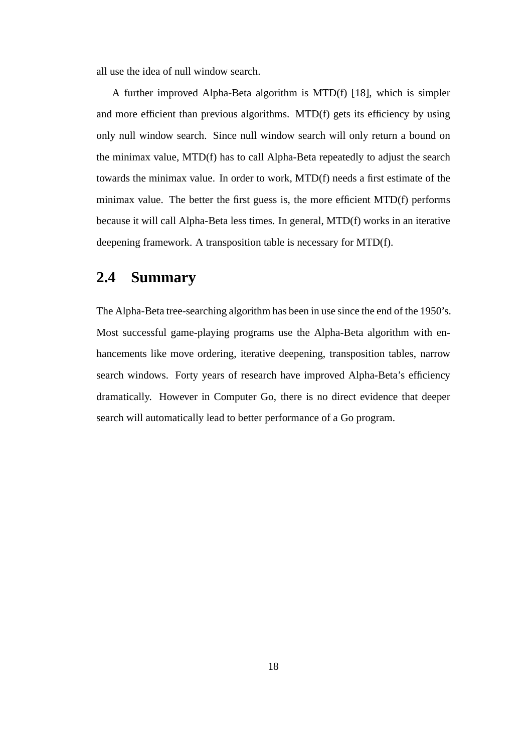all use the idea of null window search.

A further improved Alpha-Beta algorithm is MTD(f) [18], which is simpler and more efficient than previous algorithms. MTD(f) gets its efficiency by using only null window search. Since null window search will only return a bound on the minimax value, MTD(f) has to call Alpha-Beta repeatedly to adjust the search towards the minimax value. In order to work, MTD(f) needs a first estimate of the minimax value. The better the first guess is, the more efficient MTD(f) performs because it will call Alpha-Beta less times. In general, MTD(f) works in an iterative deepening framework. A transposition table is necessary for MTD(f).

#### **2.4 Summary**

The Alpha-Beta tree-searching algorithm has been in use since the end of the 1950's. Most successful game-playing programs use the Alpha-Beta algorithm with enhancements like move ordering, iterative deepening, transposition tables, narrow search windows. Forty years of research have improved Alpha-Beta's efficiency dramatically. However in Computer Go, there is no direct evidence that deeper search will automatically lead to better performance of a Go program.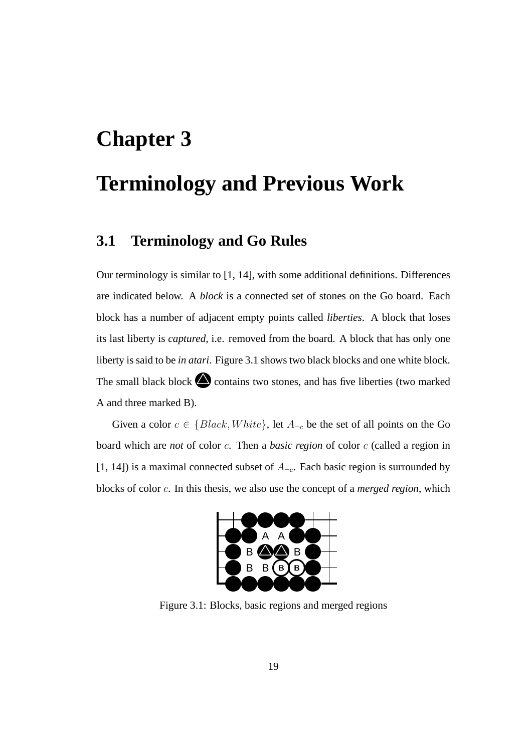## **Chapter 3**

## **Terminology and Previous Work**

#### **3.1 Terminology and Go Rules**

Our terminology is similar to [1, 14], with some additional definitions. Differences are indicated below. A *block* is a connected set of stones on the Go board. Each block has a number of adjacent empty points called *liberties*. A block that loses its last liberty is *captured*, i.e. removed from the board. A block that has only one liberty is said to be *in atari*. Figure 3.1 shows two black blocks and one white block. The small black block  $\bigtriangleup$  contains two stones, and has five liberties (two marked A and three marked B).

Given a color  $c \in \{Black, White\}$ , let  $A_{\neg c}$  be the set of all points on the Go board which are *not* of color c. Then a *basic region* of color c (called a region in [1, 14]) is a maximal connected subset of  $A_{\neg c}$ . Each basic region is surrounded by blocks of color c. In this thesis, we also use the concept of a *merged region*, which



Figure 3.1: Blocks, basic regions and merged regions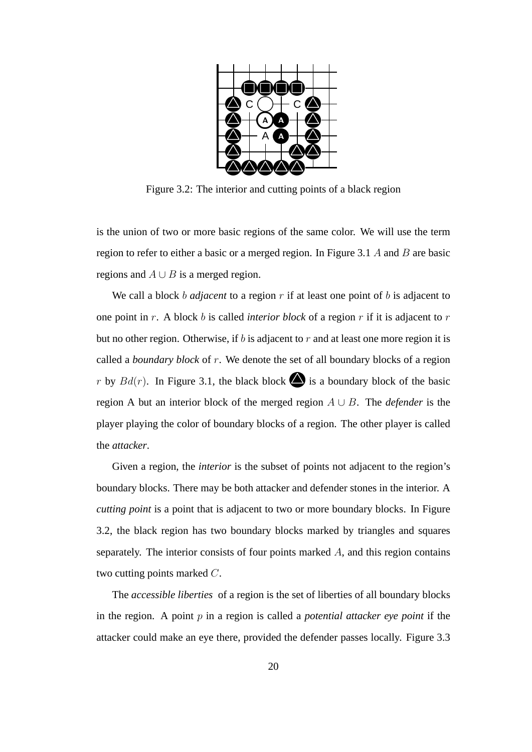

Figure 3.2: The interior and cutting points of a black region

is the union of two or more basic regions of the same color. We will use the term region to refer to either a basic or a merged region. In Figure 3.1 A and B are basic regions and  $A \cup B$  is a merged region.

We call a block b *adjacent* to a region  $r$  if at least one point of b is adjacent to one point in r. A block b is called *interior block* of a region r if it is adjacent to r but no other region. Otherwise, if b is adjacent to r and at least one more region it is called a *boundary block* of r. We denote the set of all boundary blocks of a region r by  $Bd(r)$ . In Figure 3.1, the black block  $\bigotimes$  is a boundary block of the basic region A but an interior block of the merged region A ∪ B. The *defender* is the player playing the color of boundary blocks of a region. The other player is called the *attacker*.

Given a region, the *interior* is the subset of points not adjacent to the region's boundary blocks. There may be both attacker and defender stones in the interior. A *cutting point* is a point that is adjacent to two or more boundary blocks. In Figure 3.2, the black region has two boundary blocks marked by triangles and squares separately. The interior consists of four points marked  $A$ , and this region contains two cutting points marked C.

The *accessible liberties* of a region is the set of liberties of all boundary blocks in the region. A point p in a region is called a *potential attacker eye point* if the attacker could make an eye there, provided the defender passes locally. Figure 3.3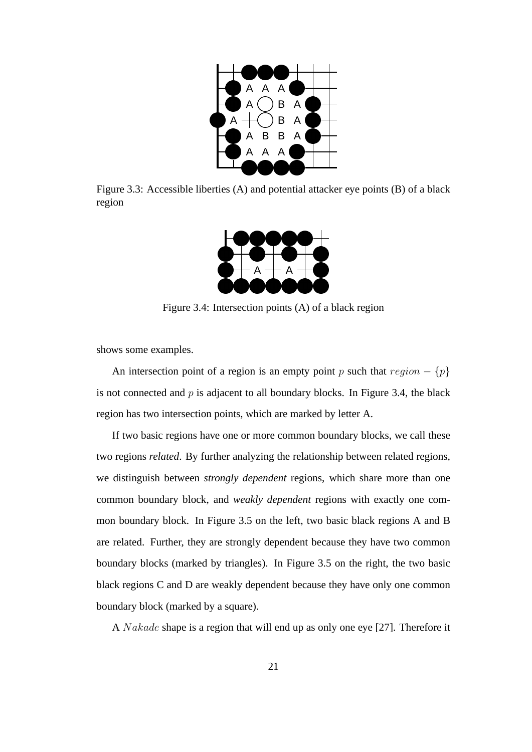

Figure 3.3: Accessible liberties (A) and potential attacker eye points (B) of a black region



Figure 3.4: Intersection points (A) of a black region

shows some examples.

An intersection point of a region is an empty point p such that  $region - \{p\}$ is not connected and  $p$  is adjacent to all boundary blocks. In Figure 3.4, the black region has two intersection points, which are marked by letter A.

If two basic regions have one or more common boundary blocks, we call these two regions *related*. By further analyzing the relationship between related regions, we distinguish between *strongly dependent* regions, which share more than one common boundary block, and *weakly dependent* regions with exactly one common boundary block. In Figure 3.5 on the left, two basic black regions A and B are related. Further, they are strongly dependent because they have two common boundary blocks (marked by triangles). In Figure 3.5 on the right, the two basic black regions C and D are weakly dependent because they have only one common boundary block (marked by a square).

A Nakade shape is a region that will end up as only one eye [27]. Therefore it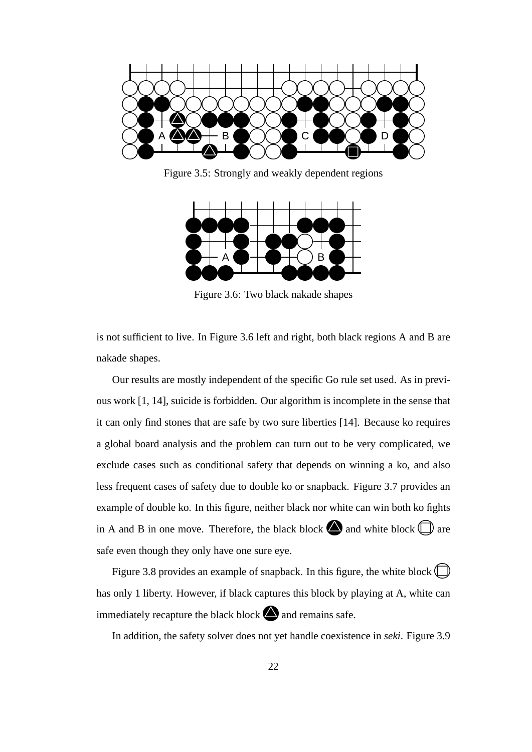

Figure 3.5: Strongly and weakly dependent regions



Figure 3.6: Two black nakade shapes

is not sufficient to live. In Figure 3.6 left and right, both black regions A and B are nakade shapes.

Our results are mostly independent of the specific Go rule set used. As in previous work [1, 14], suicide is forbidden. Our algorithm is incomplete in the sense that it can only find stones that are safe by two sure liberties [14]. Because ko requires a global board analysis and the problem can turn out to be very complicated, we exclude cases such as conditional safety that depends on winning a ko, and also less frequent cases of safety due to double ko or snapback. Figure 3.7 provides an example of double ko. In this figure, neither black nor white can win both ko fights in A and B in one move. Therefore, the black block  $\bigcirc$  and white block  $\bigcirc$  are safe even though they only have one sure eye.

Figure 3.8 provides an example of snapback. In this figure, the white block  $\Box$ has only 1 liberty. However, if black captures this block by playing at A, white can immediately recapture the black block  $\bigtriangleup$  and remains safe.

In addition, the safety solver does not yet handle coexistence in *seki*. Figure 3.9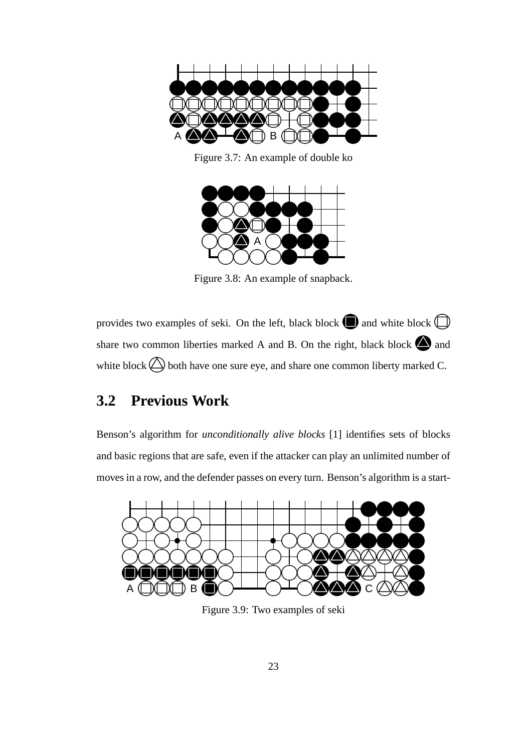

Figure 3.7: An example of double ko



Figure 3.8: An example of snapback.

provides two examples of seki. On the left, black block  $\Box$  and white block  $\Box$ share two common liberties marked A and B. On the right, black block  $\bigotimes$  and white block  $\bigcirc$  both have one sure eye, and share one common liberty marked C.

#### **3.2 Previous Work**

Benson's algorithm for *unconditionally alive blocks* [1] identifies sets of blocks and basic regions that are safe, even if the attacker can play an unlimited number of moves in a row, and the defender passes on every turn. Benson's algorithm is a start-



Figure 3.9: Two examples of seki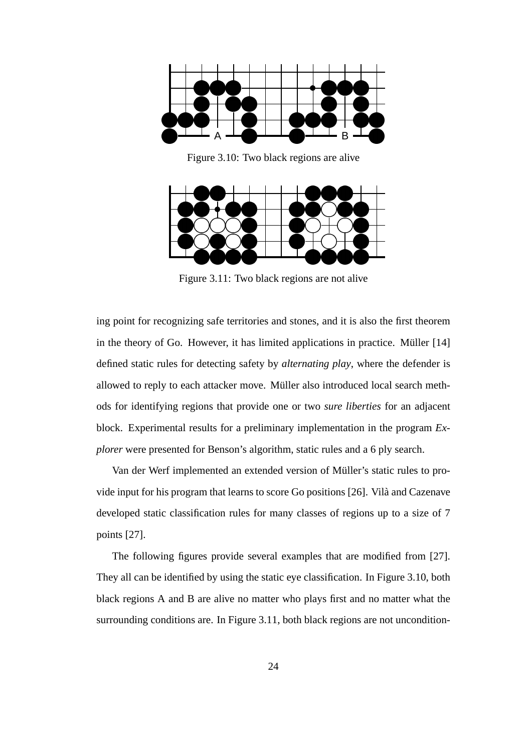

Figure 3.10: Two black regions are alive



Figure 3.11: Two black regions are not alive

ing point for recognizing safe territories and stones, and it is also the first theorem in the theory of Go. However, it has limited applications in practice. Müller  $[14]$ defined static rules for detecting safety by *alternating play*, where the defender is allowed to reply to each attacker move. Müller also introduced local search methods for identifying regions that provide one or two *sure liberties* for an adjacent block. Experimental results for a preliminary implementation in the program *Explorer* were presented for Benson's algorithm, static rules and a 6 ply search.

Van der Werf implemented an extended version of Müller's static rules to provide input for his program that learns to score Go positions [26]. Vilà and Cazenave developed static classification rules for many classes of regions up to a size of 7 points [27].

The following figures provide several examples that are modified from [27]. They all can be identified by using the static eye classification. In Figure 3.10, both black regions A and B are alive no matter who plays first and no matter what the surrounding conditions are. In Figure 3.11, both black regions are not uncondition-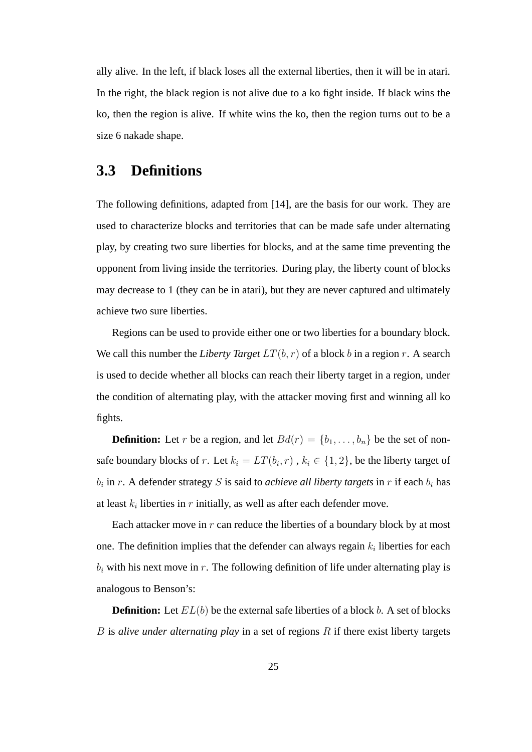ally alive. In the left, if black loses all the external liberties, then it will be in atari. In the right, the black region is not alive due to a ko fight inside. If black wins the ko, then the region is alive. If white wins the ko, then the region turns out to be a size 6 nakade shape.

### **3.3 Definitions**

The following definitions, adapted from [14], are the basis for our work. They are used to characterize blocks and territories that can be made safe under alternating play, by creating two sure liberties for blocks, and at the same time preventing the opponent from living inside the territories. During play, the liberty count of blocks may decrease to 1 (they can be in atari), but they are never captured and ultimately achieve two sure liberties.

Regions can be used to provide either one or two liberties for a boundary block. We call this number the *Liberty Target*  $LT(b, r)$  of a block b in a region r. A search is used to decide whether all blocks can reach their liberty target in a region, under the condition of alternating play, with the attacker moving first and winning all ko fights.

**Definition:** Let r be a region, and let  $Bd(r) = \{b_1, \ldots, b_n\}$  be the set of nonsafe boundary blocks of r. Let  $k_i = LT(b_i, r)$ ,  $k_i \in \{1, 2\}$ , be the liberty target of  $b_i$  in r. A defender strategy S is said to *achieve all liberty targets* in r if each  $b_i$  has at least  $k_i$  liberties in r initially, as well as after each defender move.

Each attacker move in  $r$  can reduce the liberties of a boundary block by at most one. The definition implies that the defender can always regain  $k_i$  liberties for each  $b_i$  with his next move in r. The following definition of life under alternating play is analogous to Benson's:

**Definition:** Let  $EL(b)$  be the external safe liberties of a block b. A set of blocks B is *alive under alternating play* in a set of regions R if there exist liberty targets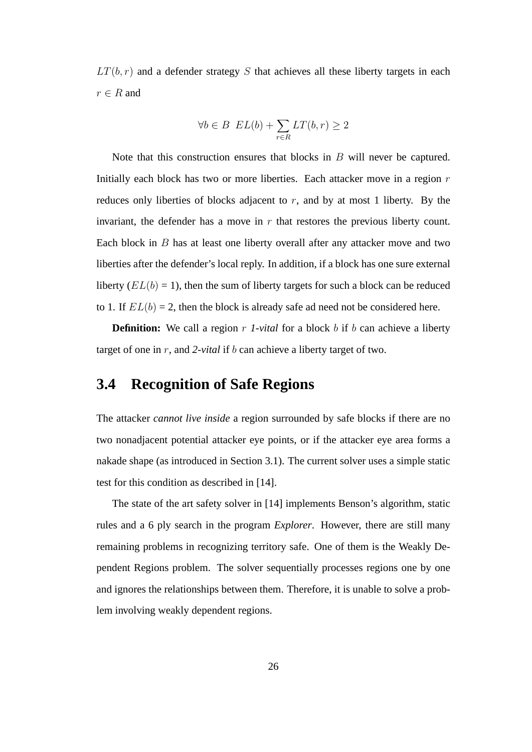$LT(b, r)$  and a defender strategy S that achieves all these liberty targets in each  $r \in R$  and

$$
\forall b \in B \ \ EL(b) + \sum_{r \in R} LT(b, r) \ge 2
$$

Note that this construction ensures that blocks in  $B$  will never be captured. Initially each block has two or more liberties. Each attacker move in a region  $r$ reduces only liberties of blocks adjacent to  $r$ , and by at most 1 liberty. By the invariant, the defender has a move in  $r$  that restores the previous liberty count. Each block in B has at least one liberty overall after any attacker move and two liberties after the defender's local reply. In addition, if a block has one sure external liberty  $(EL(b) = 1)$ , then the sum of liberty targets for such a block can be reduced to 1. If  $EL(b) = 2$ , then the block is already safe ad need not be considered here.

**Definition:** We call a region r *1-vital* for a block b if b can achieve a liberty target of one in r, and *2-vital* if b can achieve a liberty target of two.

### **3.4 Recognition of Safe Regions**

The attacker *cannot live inside* a region surrounded by safe blocks if there are no two nonadjacent potential attacker eye points, or if the attacker eye area forms a nakade shape (as introduced in Section 3.1). The current solver uses a simple static test for this condition as described in [14].

The state of the art safety solver in [14] implements Benson's algorithm, static rules and a 6 ply search in the program *Explorer*. However, there are still many remaining problems in recognizing territory safe. One of them is the Weakly Dependent Regions problem. The solver sequentially processes regions one by one and ignores the relationships between them. Therefore, it is unable to solve a problem involving weakly dependent regions.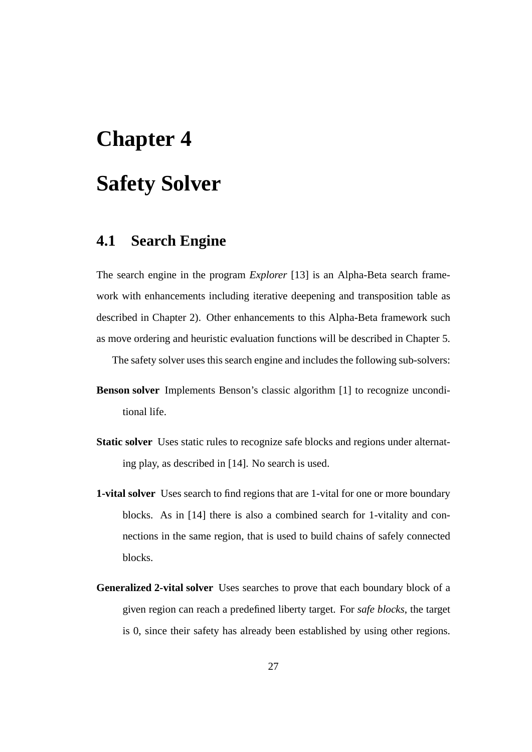# **Chapter 4 Safety Solver**

## **4.1 Search Engine**

The search engine in the program *Explorer* [13] is an Alpha-Beta search framework with enhancements including iterative deepening and transposition table as described in Chapter 2). Other enhancements to this Alpha-Beta framework such as move ordering and heuristic evaluation functions will be described in Chapter 5.

The safety solver uses this search engine and includes the following sub-solvers:

- **Benson solver** Implements Benson's classic algorithm [1] to recognize unconditional life.
- **Static solver** Uses static rules to recognize safe blocks and regions under alternating play, as described in [14]. No search is used.
- **1-vital solver** Uses search to find regions that are 1-vital for one or more boundary blocks. As in [14] there is also a combined search for 1-vitality and connections in the same region, that is used to build chains of safely connected blocks.
- **Generalized 2-vital solver** Uses searches to prove that each boundary block of a given region can reach a predefined liberty target. For *safe blocks*, the target is 0, since their safety has already been established by using other regions.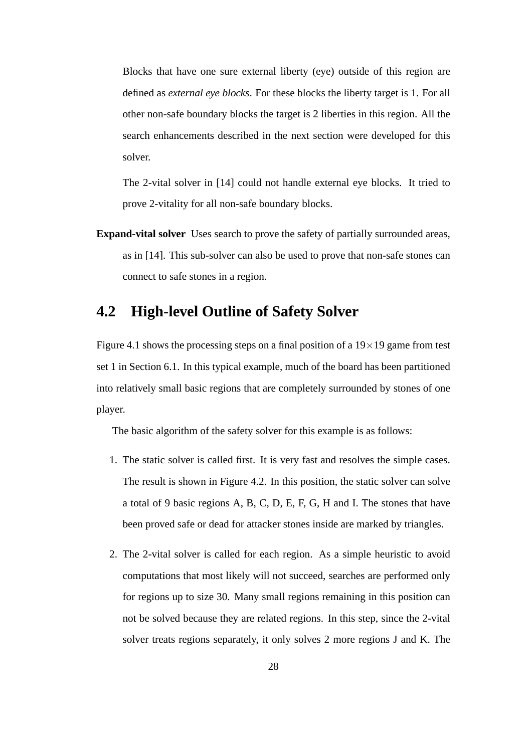Blocks that have one sure external liberty (eye) outside of this region are defined as *external eye blocks*. For these blocks the liberty target is 1. For all other non-safe boundary blocks the target is 2 liberties in this region. All the search enhancements described in the next section were developed for this solver.

The 2-vital solver in [14] could not handle external eye blocks. It tried to prove 2-vitality for all non-safe boundary blocks.

**Expand-vital solver** Uses search to prove the safety of partially surrounded areas, as in [14]. This sub-solver can also be used to prove that non-safe stones can connect to safe stones in a region.

## **4.2 High-level Outline of Safety Solver**

Figure 4.1 shows the processing steps on a final position of a  $19\times19$  game from test set 1 in Section 6.1. In this typical example, much of the board has been partitioned into relatively small basic regions that are completely surrounded by stones of one player.

The basic algorithm of the safety solver for this example is as follows:

- 1. The static solver is called first. It is very fast and resolves the simple cases. The result is shown in Figure 4.2. In this position, the static solver can solve a total of 9 basic regions A, B, C, D, E, F, G, H and I. The stones that have been proved safe or dead for attacker stones inside are marked by triangles.
- 2. The 2-vital solver is called for each region. As a simple heuristic to avoid computations that most likely will not succeed, searches are performed only for regions up to size 30. Many small regions remaining in this position can not be solved because they are related regions. In this step, since the 2-vital solver treats regions separately, it only solves 2 more regions J and K. The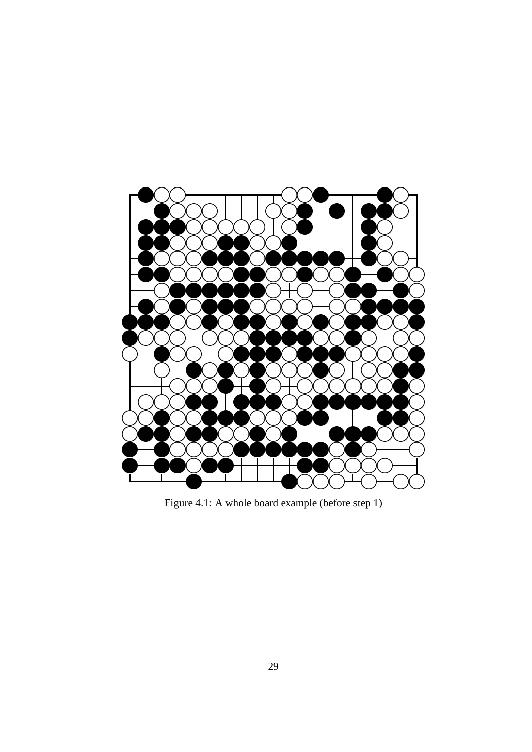

Figure 4.1: A whole board example (before step 1)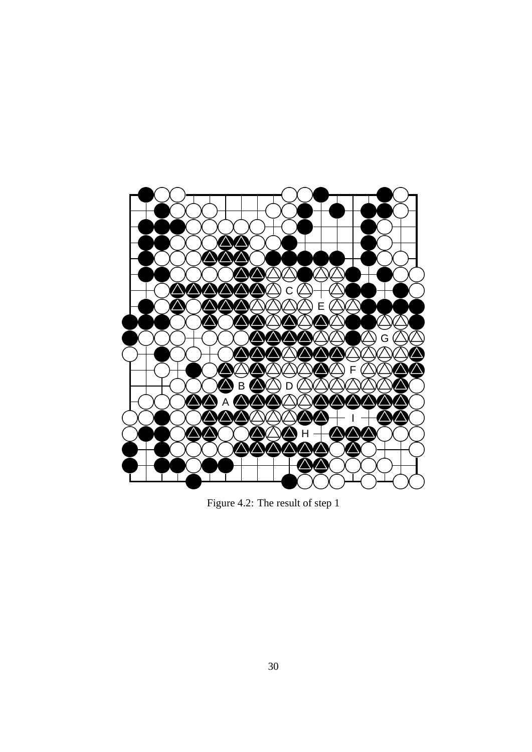

Figure 4.2: The result of step 1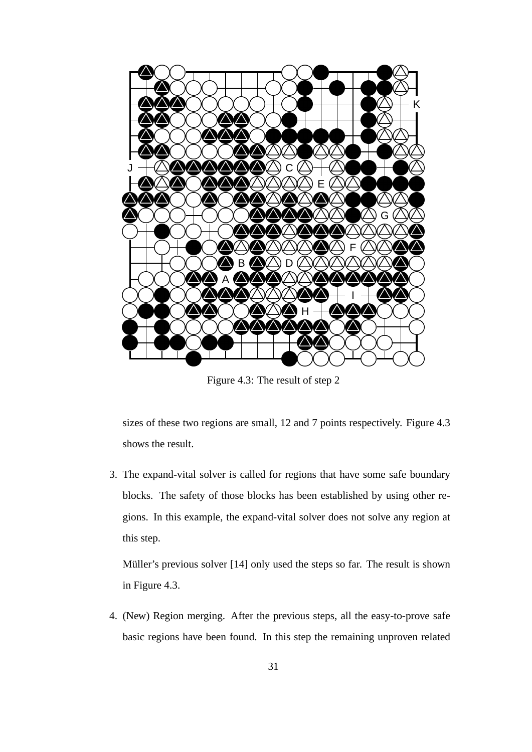

Figure 4.3: The result of step 2

sizes of these two regions are small, 12 and 7 points respectively. Figure 4.3 shows the result.

3. The expand-vital solver is called for regions that have some safe boundary blocks. The safety of those blocks has been established by using other regions. In this example, the expand-vital solver does not solve any region at this step.

Müller's previous solver [14] only used the steps so far. The result is shown in Figure 4.3.

4. (New) Region merging. After the previous steps, all the easy-to-prove safe basic regions have been found. In this step the remaining unproven related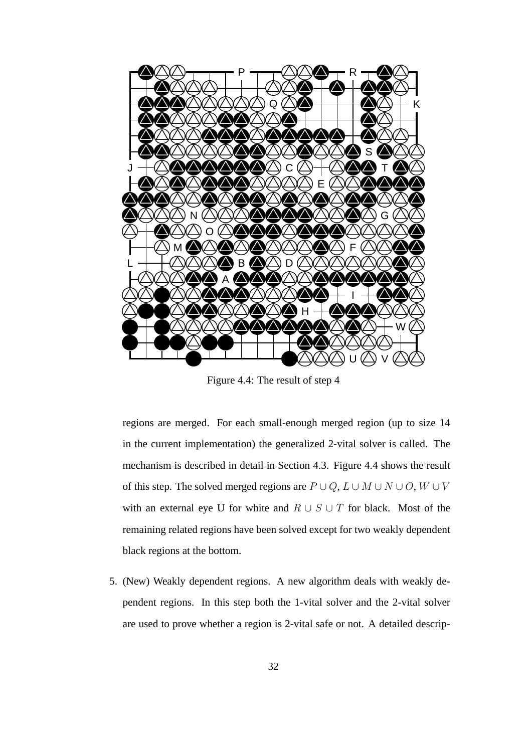

Figure 4.4: The result of step 4

regions are merged. For each small-enough merged region (up to size 14 in the current implementation) the generalized 2-vital solver is called. The mechanism is described in detail in Section 4.3. Figure 4.4 shows the result of this step. The solved merged regions are  $P \cup Q$ ,  $L \cup M \cup N \cup O$ ,  $W \cup V$ with an external eye U for white and  $R \cup S \cup T$  for black. Most of the remaining related regions have been solved except for two weakly dependent black regions at the bottom.

5. (New) Weakly dependent regions. A new algorithm deals with weakly dependent regions. In this step both the 1-vital solver and the 2-vital solver are used to prove whether a region is 2-vital safe or not. A detailed descrip-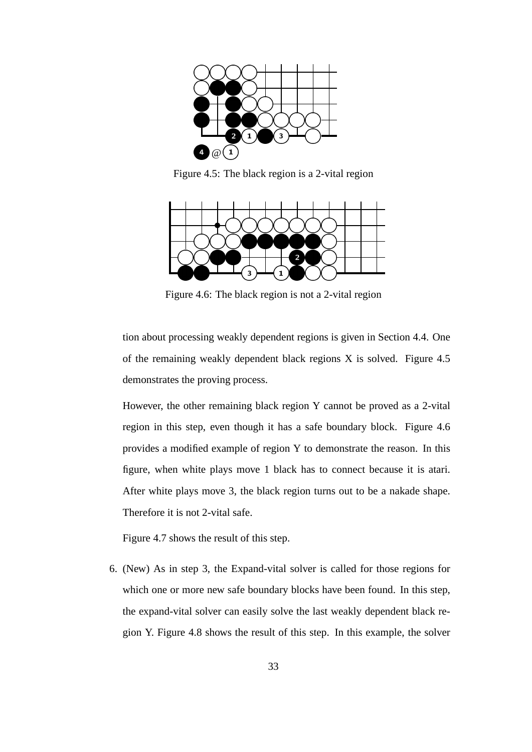

Figure 4.5: The black region is a 2-vital region



Figure 4.6: The black region is not a 2-vital region

tion about processing weakly dependent regions is given in Section 4.4. One of the remaining weakly dependent black regions X is solved. Figure 4.5 demonstrates the proving process.

However, the other remaining black region Y cannot be proved as a 2-vital region in this step, even though it has a safe boundary block. Figure 4.6 provides a modified example of region Y to demonstrate the reason. In this figure, when white plays move 1 black has to connect because it is atari. After white plays move 3, the black region turns out to be a nakade shape. Therefore it is not 2-vital safe.

Figure 4.7 shows the result of this step.

6. (New) As in step 3, the Expand-vital solver is called for those regions for which one or more new safe boundary blocks have been found. In this step, the expand-vital solver can easily solve the last weakly dependent black region Y. Figure 4.8 shows the result of this step. In this example, the solver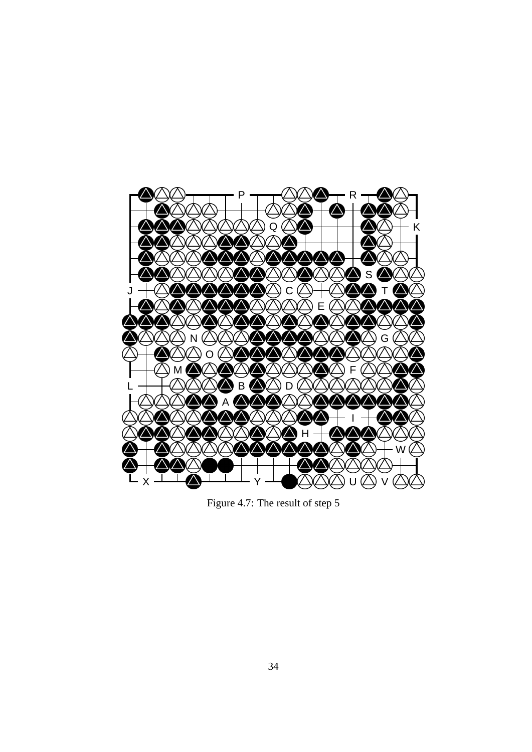

Figure 4.7: The result of step 5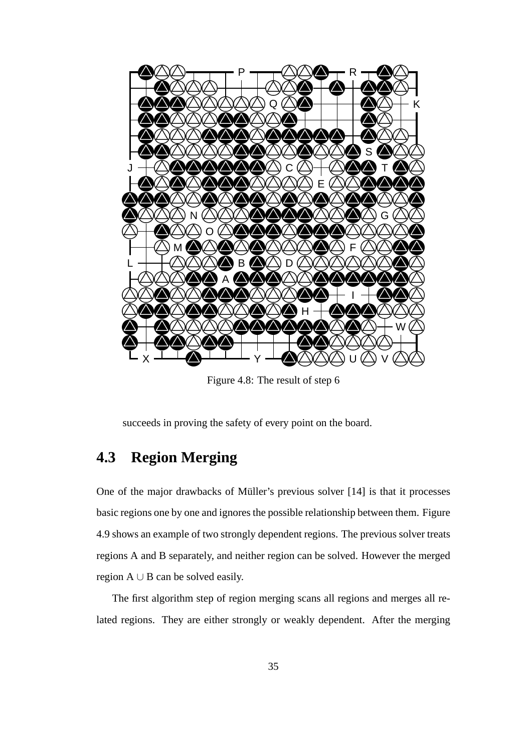

Figure 4.8: The result of step 6

succeeds in proving the safety of every point on the board.

# **4.3 Region Merging**

One of the major drawbacks of Müller's previous solver [14] is that it processes basic regions one by one and ignores the possible relationship between them. Figure 4.9 shows an example of two strongly dependent regions. The previous solver treats regions A and B separately, and neither region can be solved. However the merged region  $A \cup B$  can be solved easily.

The first algorithm step of region merging scans all regions and merges all related regions. They are either strongly or weakly dependent. After the merging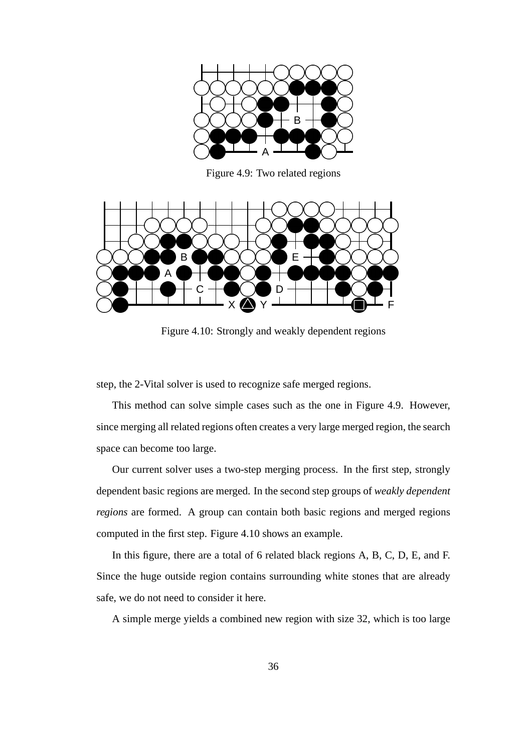

Figure 4.9: Two related regions



Figure 4.10: Strongly and weakly dependent regions

step, the 2-Vital solver is used to recognize safe merged regions.

This method can solve simple cases such as the one in Figure 4.9. However, since merging all related regions often creates a very large merged region, the search space can become too large.

Our current solver uses a two-step merging process. In the first step, strongly dependent basic regions are merged. In the second step groups of *weakly dependent regions* are formed. A group can contain both basic regions and merged regions computed in the first step. Figure 4.10 shows an example.

In this figure, there are a total of 6 related black regions A, B, C, D, E, and F. Since the huge outside region contains surrounding white stones that are already safe, we do not need to consider it here.

A simple merge yields a combined new region with size 32, which is too large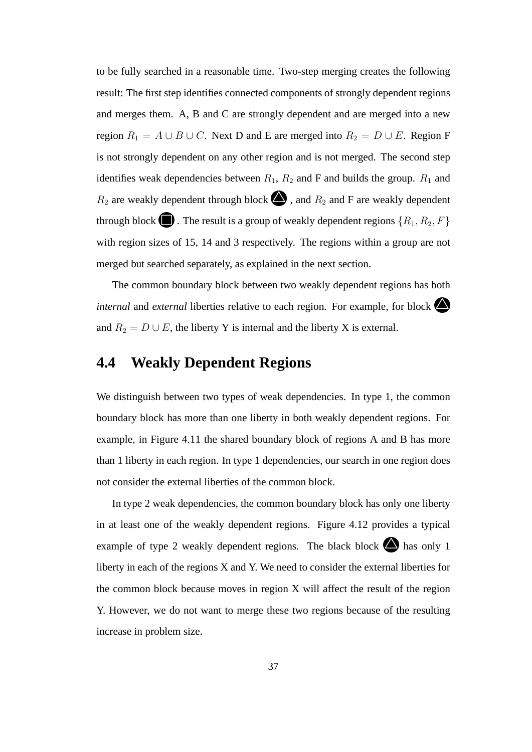to be fully searched in a reasonable time. Two-step merging creates the following result: The first step identifies connected components of strongly dependent regions and merges them. A, B and C are strongly dependent and are merged into a new region  $R_1 = A \cup B \cup C$ . Next D and E are merged into  $R_2 = D \cup E$ . Region F is not strongly dependent on any other region and is not merged. The second step identifies weak dependencies between  $R_1$ ,  $R_2$  and F and builds the group.  $R_1$  and  $R_2$  are weakly dependent through block  $\bigotimes$ , and  $R_2$  and F are weakly dependent through block  $\bigcirc$ . The result is a group of weakly dependent regions  $\{R_1, R_2, F\}$ with region sizes of 15, 14 and 3 respectively. The regions within a group are not merged but searched separately, as explained in the next section.

The common boundary block between two weakly dependent regions has both *internal* and *external* liberties relative to each region. For example, for block and  $R_2 = D \cup E$ , the liberty Y is internal and the liberty X is external.

# **4.4 Weakly Dependent Regions**

We distinguish between two types of weak dependencies. In type 1, the common boundary block has more than one liberty in both weakly dependent regions. For example, in Figure 4.11 the shared boundary block of regions A and B has more than 1 liberty in each region. In type 1 dependencies, our search in one region does not consider the external liberties of the common block.

In type 2 weak dependencies, the common boundary block has only one liberty in at least one of the weakly dependent regions. Figure 4.12 provides a typical example of type 2 weakly dependent regions. The black block  $\bigtriangleup$  has only 1 liberty in each of the regions X and Y. We need to consider the external liberties for the common block because moves in region X will affect the result of the region Y. However, we do not want to merge these two regions because of the resulting increase in problem size.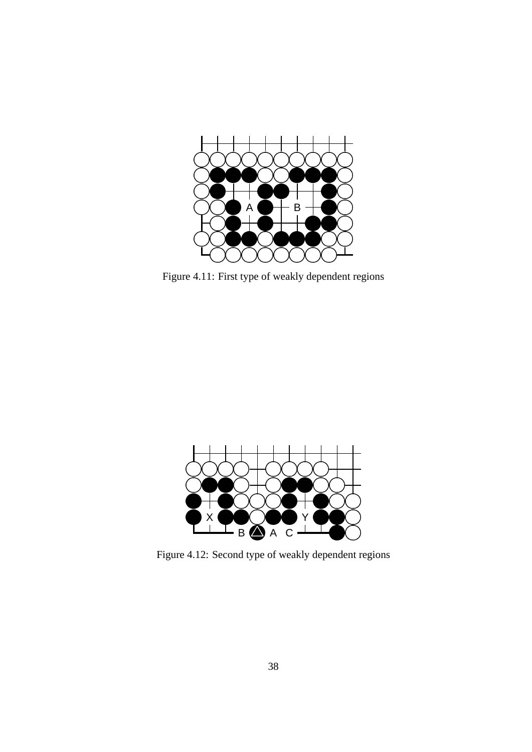

Figure 4.11: First type of weakly dependent regions



Figure 4.12: Second type of weakly dependent regions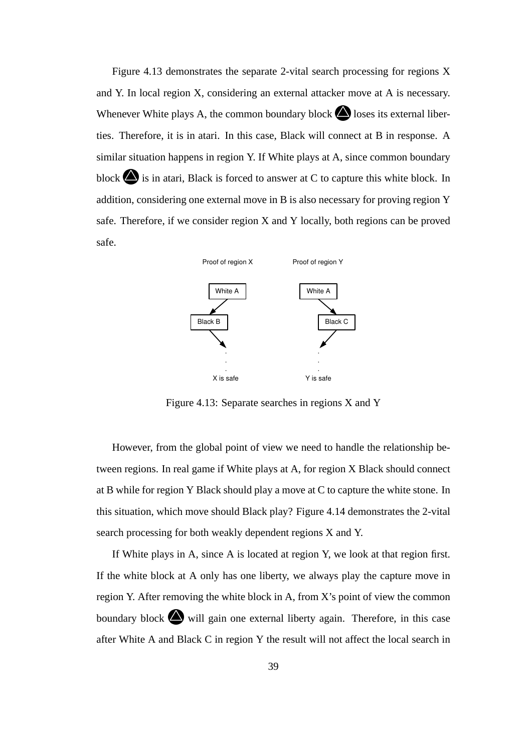Figure 4.13 demonstrates the separate 2-vital search processing for regions X and Y. In local region X, considering an external attacker move at A is necessary. Whenever White plays A, the common boundary block  $\bigotimes$  loses its external liberties. Therefore, it is in atari. In this case, Black will connect at B in response. A similar situation happens in region Y. If White plays at A, since common boundary block  $\triangle$  is in atari. Black is forced to answer at C to capture this white block. In addition, considering one external move in B is also necessary for proving region Y safe. Therefore, if we consider region X and Y locally, both regions can be proved safe.



Figure 4.13: Separate searches in regions X and Y

However, from the global point of view we need to handle the relationship between regions. In real game if White plays at A, for region X Black should connect at B while for region Y Black should play a move at C to capture the white stone. In this situation, which move should Black play? Figure 4.14 demonstrates the 2-vital search processing for both weakly dependent regions X and Y.

If White plays in A, since A is located at region Y, we look at that region first. If the white block at A only has one liberty, we always play the capture move in region Y. After removing the white block in A, from X's point of view the common boundary block  $\bigotimes$  will gain one external liberty again. Therefore, in this case after White A and Black C in region Y the result will not affect the local search in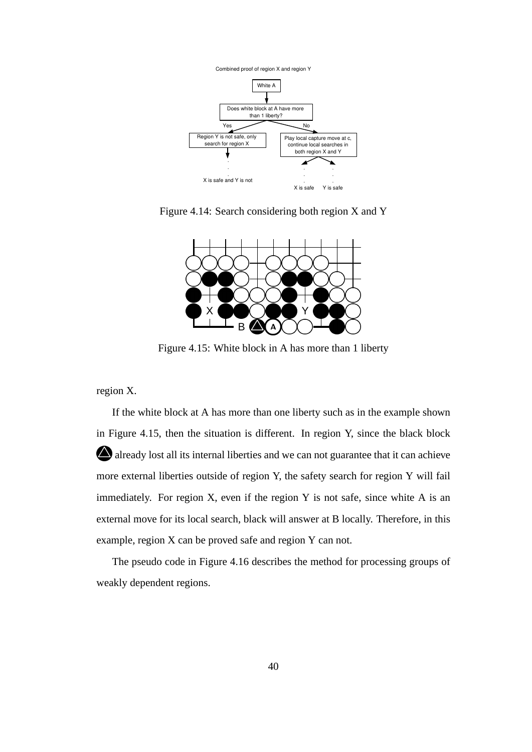

Figure 4.14: Search considering both region X and Y



Figure 4.15: White block in A has more than 1 liberty

region X.

If the white block at A has more than one liberty such as in the example shown in Figure 4.15, then the situation is different. In region Y, since the black block already lost all its internal liberties and we can not guarantee that it can achieve more external liberties outside of region Y, the safety search for region Y will fail immediately. For region X, even if the region Y is not safe, since white A is an external move for its local search, black will answer at B locally. Therefore, in this example, region X can be proved safe and region Y can not.

The pseudo code in Figure 4.16 describes the method for processing groups of weakly dependent regions.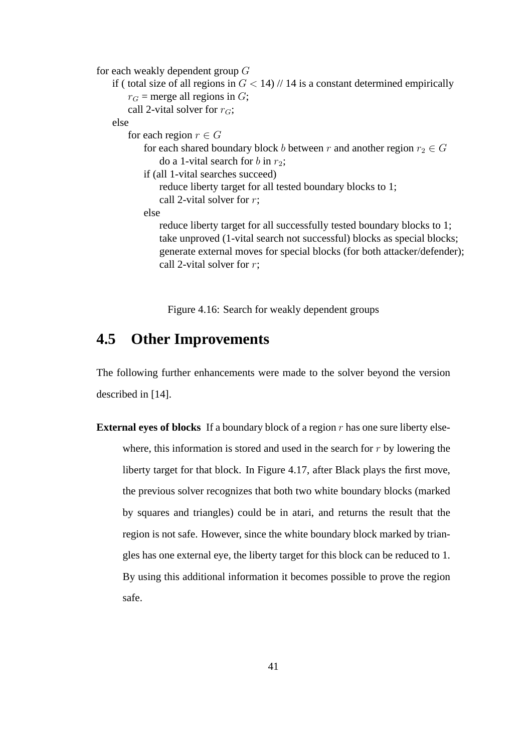```
for each weakly dependent group G
if ( total size of all regions in G < 14) // 14 is a constant determined empirically
    r_G = merge all regions in G;
    call 2-vital solver for r_G;
else
    for each region r \in Gfor each shared boundary block b between r and another region r_2 \in Gdo a 1-vital search for b in r_2;
        if (all 1-vital searches succeed)
            reduce liberty target for all tested boundary blocks to 1;
            call 2-vital solver for r;
        else
            reduce liberty target for all successfully tested boundary blocks to 1;
            take unproved (1-vital search not successful) blocks as special blocks;
            generate external moves for special blocks (for both attacker/defender);
            call 2-vital solver for r;
```
Figure 4.16: Search for weakly dependent groups

## **4.5 Other Improvements**

The following further enhancements were made to the solver beyond the version described in [14].

**External eyes of blocks** If a boundary block of a region r has one sure liberty elsewhere, this information is stored and used in the search for  $r$  by lowering the liberty target for that block. In Figure 4.17, after Black plays the first move, the previous solver recognizes that both two white boundary blocks (marked by squares and triangles) could be in atari, and returns the result that the region is not safe. However, since the white boundary block marked by triangles has one external eye, the liberty target for this block can be reduced to 1. By using this additional information it becomes possible to prove the region safe.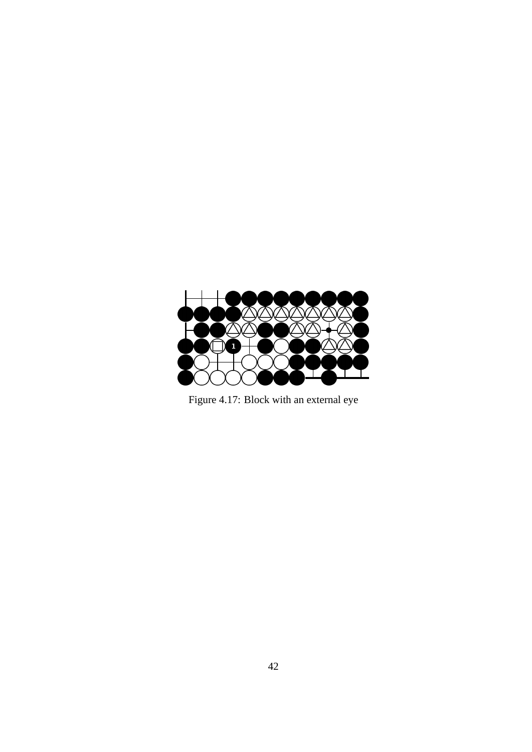

Figure 4.17: Block with an external eye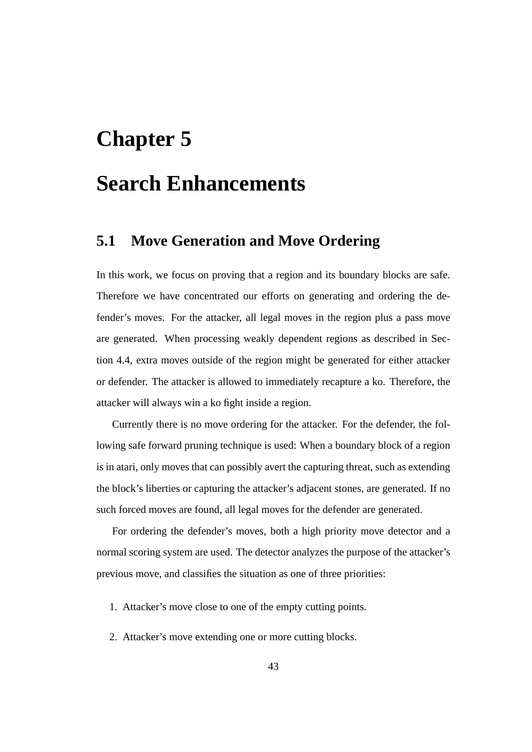# **Chapter 5**

# **Search Enhancements**

## **5.1 Move Generation and Move Ordering**

In this work, we focus on proving that a region and its boundary blocks are safe. Therefore we have concentrated our efforts on generating and ordering the defender's moves. For the attacker, all legal moves in the region plus a pass move are generated. When processing weakly dependent regions as described in Section 4.4, extra moves outside of the region might be generated for either attacker or defender. The attacker is allowed to immediately recapture a ko. Therefore, the attacker will always win a ko fight inside a region.

Currently there is no move ordering for the attacker. For the defender, the following safe forward pruning technique is used: When a boundary block of a region is in atari, only moves that can possibly avert the capturing threat, such as extending the block's liberties or capturing the attacker's adjacent stones, are generated. If no such forced moves are found, all legal moves for the defender are generated.

For ordering the defender's moves, both a high priority move detector and a normal scoring system are used. The detector analyzes the purpose of the attacker's previous move, and classifies the situation as one of three priorities:

- 1. Attacker's move close to one of the empty cutting points.
- 2. Attacker's move extending one or more cutting blocks.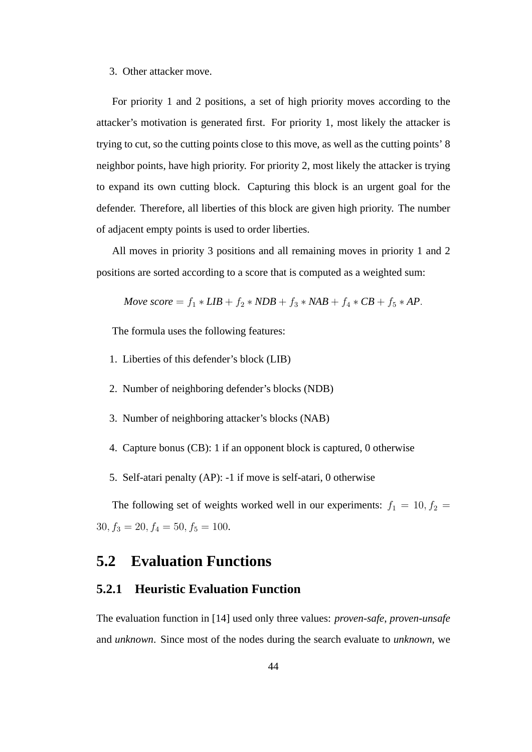#### 3. Other attacker move.

For priority 1 and 2 positions, a set of high priority moves according to the attacker's motivation is generated first. For priority 1, most likely the attacker is trying to cut, so the cutting points close to this move, as well as the cutting points' 8 neighbor points, have high priority. For priority 2, most likely the attacker is trying to expand its own cutting block. Capturing this block is an urgent goal for the defender. Therefore, all liberties of this block are given high priority. The number of adjacent empty points is used to order liberties.

All moves in priority 3 positions and all remaining moves in priority 1 and 2 positions are sorted according to a score that is computed as a weighted sum:

*Move score* =  $f_1 * LIB + f_2 * NDB + f_3 * NAB + f_4 * CB + f_5 * AP$ .

The formula uses the following features:

- 1. Liberties of this defender's block (LIB)
- 2. Number of neighboring defender's blocks (NDB)
- 3. Number of neighboring attacker's blocks (NAB)
- 4. Capture bonus (CB): 1 if an opponent block is captured, 0 otherwise
- 5. Self-atari penalty (AP): -1 if move is self-atari, 0 otherwise

The following set of weights worked well in our experiments:  $f_1 = 10, f_2 =$  $30, f_3 = 20, f_4 = 50, f_5 = 100.$ 

### **5.2 Evaluation Functions**

#### **5.2.1 Heuristic Evaluation Function**

The evaluation function in [14] used only three values: *proven-safe*, *proven-unsafe* and *unknown*. Since most of the nodes during the search evaluate to *unknown*, we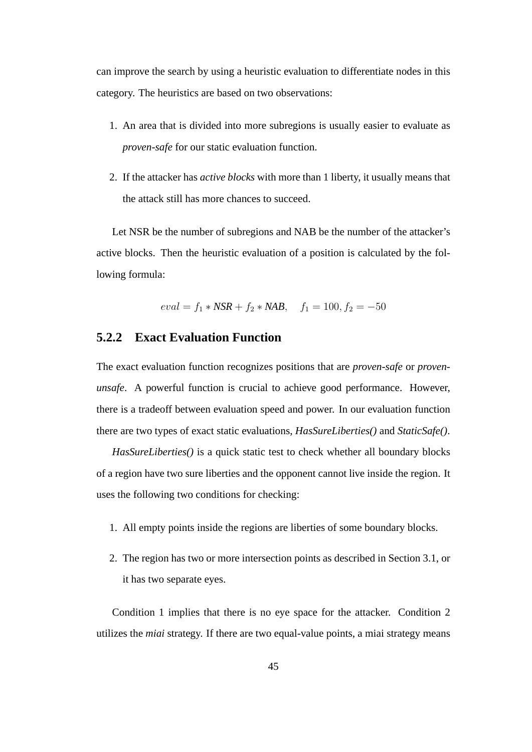can improve the search by using a heuristic evaluation to differentiate nodes in this category. The heuristics are based on two observations:

- 1. An area that is divided into more subregions is usually easier to evaluate as *proven-safe* for our static evaluation function.
- 2. If the attacker has *active blocks* with more than 1 liberty, it usually means that the attack still has more chances to succeed.

Let NSR be the number of subregions and NAB be the number of the attacker's active blocks. Then the heuristic evaluation of a position is calculated by the following formula:

$$
eval = f_1 * NSR + f_2 * NAB, \quad f_1 = 100, f_2 = -50
$$

#### **5.2.2 Exact Evaluation Function**

The exact evaluation function recognizes positions that are *proven-safe* or *provenunsafe*. A powerful function is crucial to achieve good performance. However, there is a tradeoff between evaluation speed and power. In our evaluation function there are two types of exact static evaluations, *HasSureLiberties()* and *StaticSafe()*.

*HasSureLiberties()* is a quick static test to check whether all boundary blocks of a region have two sure liberties and the opponent cannot live inside the region. It uses the following two conditions for checking:

- 1. All empty points inside the regions are liberties of some boundary blocks.
- 2. The region has two or more intersection points as described in Section 3.1, or it has two separate eyes.

Condition 1 implies that there is no eye space for the attacker. Condition 2 utilizes the *miai* strategy. If there are two equal-value points, a miai strategy means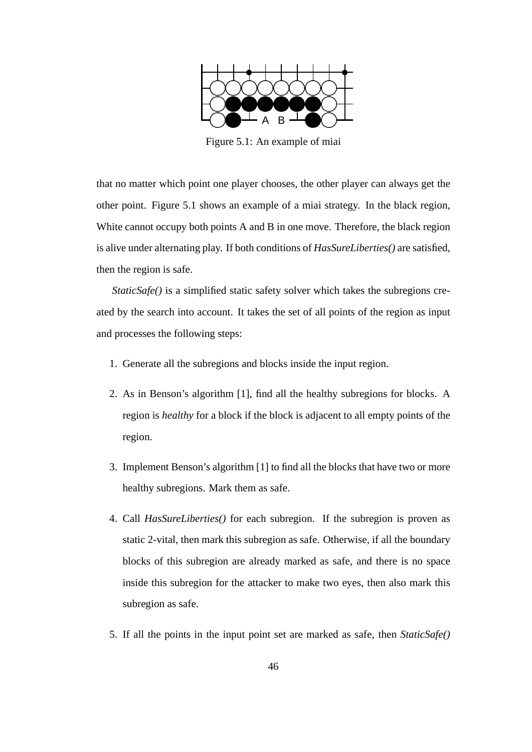

Figure 5.1: An example of miai

that no matter which point one player chooses, the other player can always get the other point. Figure 5.1 shows an example of a miai strategy. In the black region, White cannot occupy both points A and B in one move. Therefore, the black region is alive under alternating play. If both conditions of *HasSureLiberties()* are satisfied, then the region is safe.

*StaticSafe()* is a simplified static safety solver which takes the subregions created by the search into account. It takes the set of all points of the region as input and processes the following steps:

- 1. Generate all the subregions and blocks inside the input region.
- 2. As in Benson's algorithm [1], find all the healthy subregions for blocks. A region is *healthy* for a block if the block is adjacent to all empty points of the region.
- 3. Implement Benson's algorithm [1] to find all the blocks that have two or more healthy subregions. Mark them as safe.
- 4. Call *HasSureLiberties()* for each subregion. If the subregion is proven as static 2-vital, then mark this subregion as safe. Otherwise, if all the boundary blocks of this subregion are already marked as safe, and there is no space inside this subregion for the attacker to make two eyes, then also mark this subregion as safe.
- 5. If all the points in the input point set are marked as safe, then *StaticSafe()*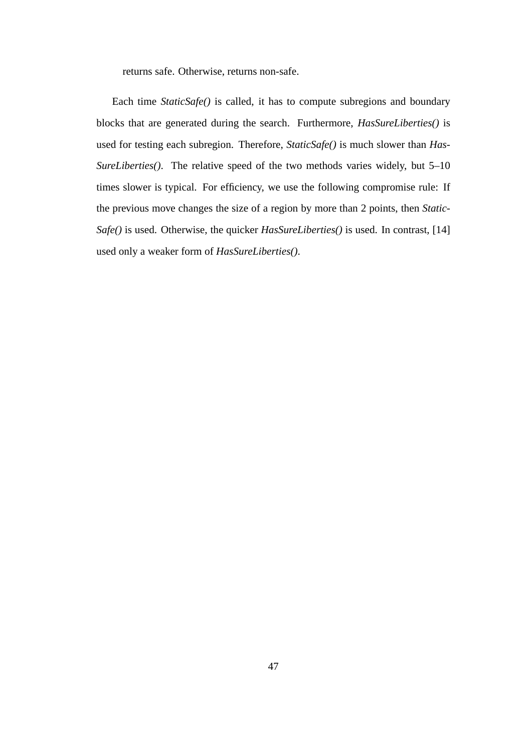returns safe. Otherwise, returns non-safe.

Each time *StaticSafe()* is called, it has to compute subregions and boundary blocks that are generated during the search. Furthermore, *HasSureLiberties()* is used for testing each subregion. Therefore, *StaticSafe()* is much slower than *Has-SureLiberties()*. The relative speed of the two methods varies widely, but 5–10 times slower is typical. For efficiency, we use the following compromise rule: If the previous move changes the size of a region by more than 2 points, then *Static-Safe()* is used. Otherwise, the quicker *HasSureLiberties()* is used. In contrast, [14] used only a weaker form of *HasSureLiberties()*.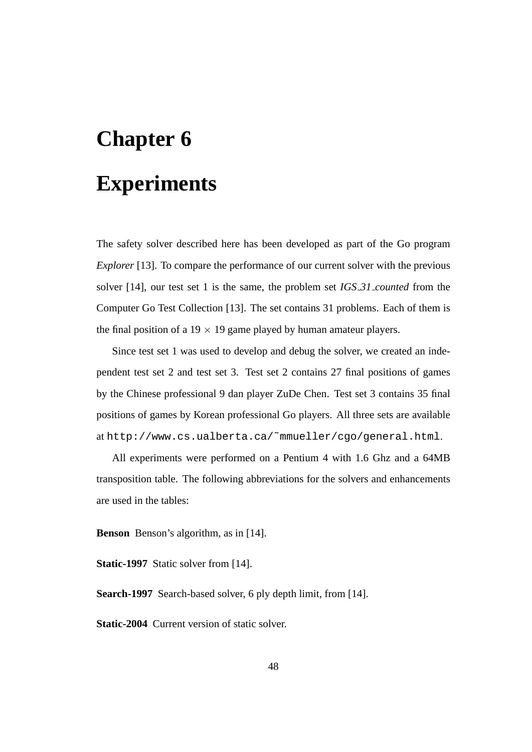# **Chapter 6 Experiments**

The safety solver described here has been developed as part of the Go program *Explorer* [13]. To compare the performance of our current solver with the previous solver [14], our test set 1 is the same, the problem set *IGS 31 counted* from the Computer Go Test Collection [13]. The set contains 31 problems. Each of them is the final position of a  $19 \times 19$  game played by human amateur players.

Since test set 1 was used to develop and debug the solver, we created an independent test set 2 and test set 3. Test set 2 contains 27 final positions of games by the Chinese professional 9 dan player ZuDe Chen. Test set 3 contains 35 final positions of games by Korean professional Go players. All three sets are available at http://www.cs.ualberta.ca/˜mmueller/cgo/general.html.

All experiments were performed on a Pentium 4 with 1.6 Ghz and a 64MB transposition table. The following abbreviations for the solvers and enhancements are used in the tables:

**Benson** Benson's algorithm, as in [14].

**Static-1997** Static solver from [14].

**Search-1997** Search-based solver, 6 ply depth limit, from [14].

**Static-2004** Current version of static solver.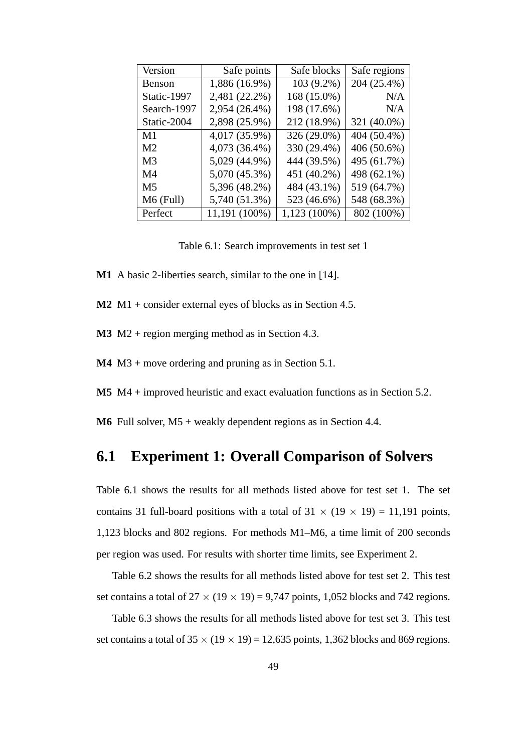| Version        | Safe points   | Safe blocks  | Safe regions |
|----------------|---------------|--------------|--------------|
| Benson         | 1,886 (16.9%) | 103 (9.2%)   | 204 (25.4%)  |
| Static-1997    | 2,481 (22.2%) | 168 (15.0%)  | N/A          |
| Search-1997    | 2,954 (26.4%) | 198 (17.6%)  | N/A          |
| Static-2004    | 2,898 (25.9%) | 212 (18.9%)  | 321 (40.0%)  |
| M1             | 4,017 (35.9%) | 326 (29.0%)  | 404 (50.4%)  |
| M <sub>2</sub> | 4,073 (36.4%) | 330 (29.4%)  | 406 (50.6%)  |
| M <sub>3</sub> | 5,029 (44.9%) | 444 (39.5%)  | 495 (61.7%)  |
| M4             | 5,070 (45.3%) | 451 (40.2%)  | 498 (62.1%)  |
| M5             | 5,396 (48.2%) | 484 (43.1%)  | 519 (64.7%)  |
| M6 (Full)      | 5,740 (51.3%) | 523 (46.6%)  | 548 (68.3%)  |
| Perfect        | 11,191 (100%) | 1,123 (100%) | 802 (100%)   |

Table 6.1: Search improvements in test set 1

- **M1** A basic 2-liberties search, similar to the one in [14].
- **M2** M1 + consider external eyes of blocks as in Section 4.5.
- **M3** M2 + region merging method as in Section 4.3.
- **M4** M3 + move ordering and pruning as in Section 5.1.
- **M5** M4 + improved heuristic and exact evaluation functions as in Section 5.2.

**M6** Full solver, M5 + weakly dependent regions as in Section 4.4.

# **6.1 Experiment 1: Overall Comparison of Solvers**

Table 6.1 shows the results for all methods listed above for test set 1. The set contains 31 full-board positions with a total of  $31 \times (19 \times 19) = 11,191$  points, 1,123 blocks and 802 regions. For methods M1–M6, a time limit of 200 seconds per region was used. For results with shorter time limits, see Experiment 2.

Table 6.2 shows the results for all methods listed above for test set 2. This test set contains a total of  $27 \times (19 \times 19) = 9,747$  points, 1,052 blocks and 742 regions.

Table 6.3 shows the results for all methods listed above for test set 3. This test set contains a total of  $35 \times (19 \times 19) = 12,635$  points, 1,362 blocks and 869 regions.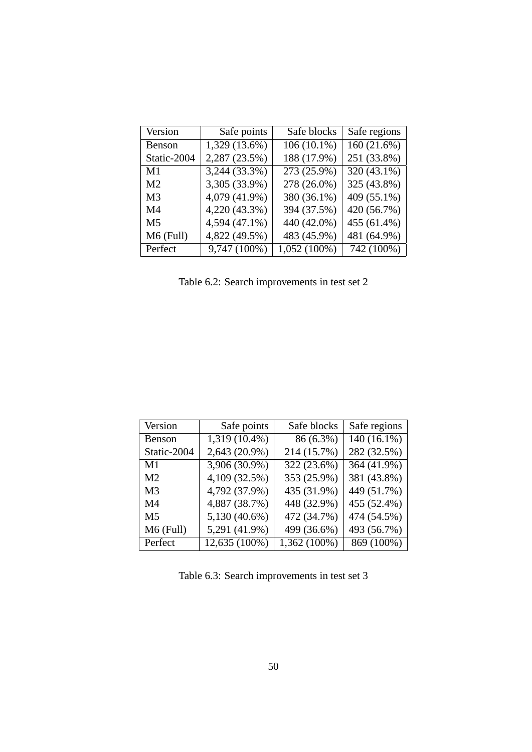| Version        | Safe points     | Safe blocks    | Safe regions             |
|----------------|-----------------|----------------|--------------------------|
| <b>Benson</b>  | $1,329(13.6\%)$ | $106(10.1\%)$  | 160(21.6%)               |
| Static-2004    | 2,287 (23.5%)   | 188 (17.9%)    | 251 (33.8%)              |
| M <sub>1</sub> | 3,244 (33.3%)   | 273 (25.9%)    | $\overline{320}$ (43.1%) |
| M <sub>2</sub> | 3,305 (33.9%)   | 278 (26.0%)    | 325 (43.8%)              |
| M <sub>3</sub> | 4,079 (41.9%)   | 380 (36.1%)    | 409 (55.1%)              |
| M <sub>4</sub> | 4,220 (43.3%)   | 394 (37.5%)    | 420 (56.7%)              |
| M <sub>5</sub> | 4,594 (47.1%)   | 440 (42.0%)    | 455 (61.4%)              |
| M6 (Full)      | 4,822 (49.5%)   | 483 (45.9%)    | 481 (64.9%)              |
| Perfect        | 9,747 (100%)    | $1,052(100\%)$ | 742 (100%)               |

Table 6.2: Search improvements in test set 2

| Version        | Safe points     | Safe blocks  | Safe regions |
|----------------|-----------------|--------------|--------------|
| Benson         | $1,319(10.4\%)$ | 86 (6.3%)    | 140 (16.1%)  |
| Static-2004    | 2,643 (20.9%)   | 214 (15.7%)  | 282 (32.5%)  |
| M1             | 3,906 (30.9%)   | 322 (23.6%)  | 364 (41.9%)  |
| M <sub>2</sub> | 4,109 (32.5%)   | 353 (25.9%)  | 381 (43.8%)  |
| M <sub>3</sub> | 4,792 (37.9%)   | 435 (31.9%)  | 449 (51.7%)  |
| M4             | 4,887 (38.7%)   | 448 (32.9%)  | 455 (52.4%)  |
| M5             | 5,130 (40.6%)   | 472 (34.7%)  | 474 (54.5%)  |
| $M6$ (Full)    | 5,291 (41.9%)   | 499 (36.6%)  | 493 (56.7%)  |
| Perfect        | 12,635 (100%)   | 1,362 (100%) | $869(100\%)$ |

Table 6.3: Search improvements in test set 3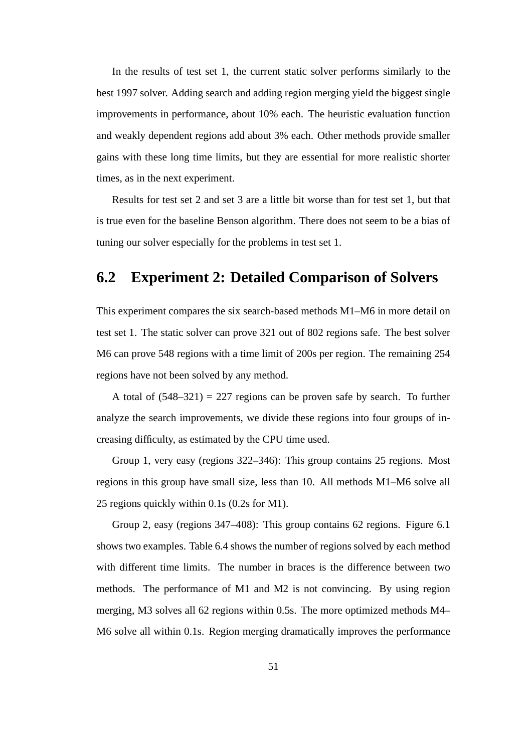In the results of test set 1, the current static solver performs similarly to the best 1997 solver. Adding search and adding region merging yield the biggest single improvements in performance, about 10% each. The heuristic evaluation function and weakly dependent regions add about 3% each. Other methods provide smaller gains with these long time limits, but they are essential for more realistic shorter times, as in the next experiment.

Results for test set 2 and set 3 are a little bit worse than for test set 1, but that is true even for the baseline Benson algorithm. There does not seem to be a bias of tuning our solver especially for the problems in test set 1.

## **6.2 Experiment 2: Detailed Comparison of Solvers**

This experiment compares the six search-based methods M1–M6 in more detail on test set 1. The static solver can prove 321 out of 802 regions safe. The best solver M6 can prove 548 regions with a time limit of 200s per region. The remaining 254 regions have not been solved by any method.

A total of  $(548-321) = 227$  regions can be proven safe by search. To further analyze the search improvements, we divide these regions into four groups of increasing difficulty, as estimated by the CPU time used.

Group 1, very easy (regions 322–346): This group contains 25 regions. Most regions in this group have small size, less than 10. All methods M1–M6 solve all 25 regions quickly within 0.1s (0.2s for M1).

Group 2, easy (regions 347–408): This group contains 62 regions. Figure 6.1 shows two examples. Table 6.4 shows the number of regions solved by each method with different time limits. The number in braces is the difference between two methods. The performance of M1 and M2 is not convincing. By using region merging, M3 solves all 62 regions within 0.5s. The more optimized methods M4– M6 solve all within 0.1s. Region merging dramatically improves the performance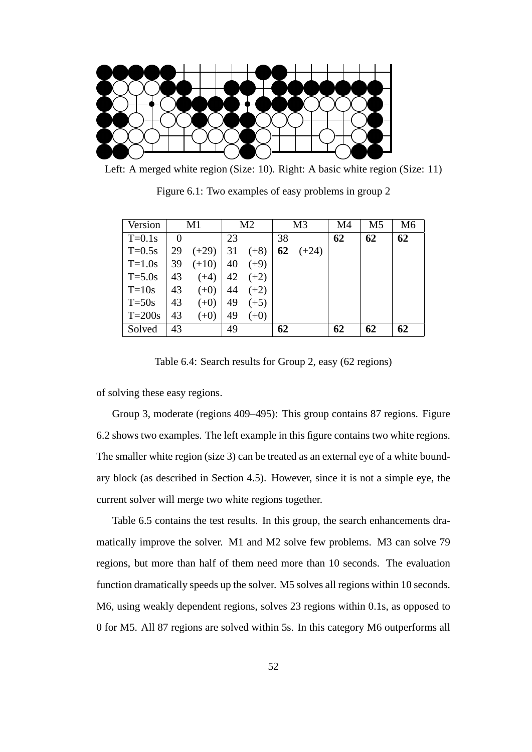

Left: A merged white region (Size: 10). Right: A basic white region (Size: 11)

| Version  |          | M1      |    | M <sub>2</sub> | M <sub>3</sub> |         |    |    | M4 | M5 | M <sub>6</sub> |
|----------|----------|---------|----|----------------|----------------|---------|----|----|----|----|----------------|
| $T=0.1s$ | $\theta$ |         | 23 |                | 38             |         | 62 | 62 | 62 |    |                |
| $T=0.5s$ | 29       | $(+29)$ | 31 | $(+8)$         | 62             | $(+24)$ |    |    |    |    |                |
| $T=1.0s$ | 39       | $(+10)$ | 40 | $(+9)$         |                |         |    |    |    |    |                |
| $T=5.0s$ | 43       | $(+4)$  | 42 | $(+2)$         |                |         |    |    |    |    |                |
| $T=10s$  | 43       | $(+0)$  | 44 | $(+2)$         |                |         |    |    |    |    |                |
| $T=50s$  | 43       | $(+0)$  | 49 | $(+5)$         |                |         |    |    |    |    |                |
| $T=200s$ | 43       | $(+0)$  | 49 | $(+0)$         |                |         |    |    |    |    |                |
| Solved   | 43       |         | 49 |                | 62             |         | 62 | 62 | 62 |    |                |

Figure 6.1: Two examples of easy problems in group 2

Table 6.4: Search results for Group 2, easy (62 regions)

of solving these easy regions.

Group 3, moderate (regions 409–495): This group contains 87 regions. Figure 6.2 shows two examples. The left example in this figure contains two white regions. The smaller white region (size 3) can be treated as an external eye of a white boundary block (as described in Section 4.5). However, since it is not a simple eye, the current solver will merge two white regions together.

Table 6.5 contains the test results. In this group, the search enhancements dramatically improve the solver. M1 and M2 solve few problems. M3 can solve 79 regions, but more than half of them need more than 10 seconds. The evaluation function dramatically speeds up the solver. M5 solves all regions within 10 seconds. M6, using weakly dependent regions, solves 23 regions within 0.1s, as opposed to 0 for M5. All 87 regions are solved within 5s. In this category M6 outperforms all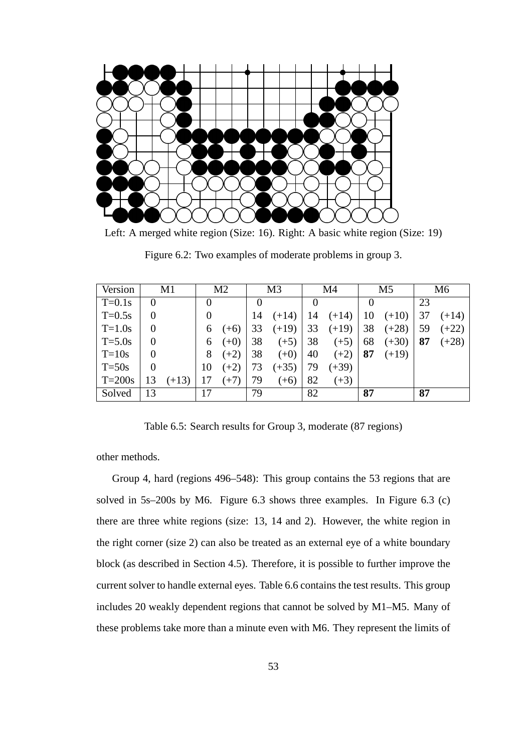

Left: A merged white region (Size: 16). Right: A basic white region (Size: 19)

Figure 6.2: Two examples of moderate problems in group 3.

| Version  |          | M1      |          | M <sub>2</sub> |    | M <sub>3</sub> |    | M <sub>4</sub> |    | M <sub>5</sub> |    | M <sub>6</sub> |
|----------|----------|---------|----------|----------------|----|----------------|----|----------------|----|----------------|----|----------------|
| $T=0.1s$ | $\Omega$ |         | $\theta$ |                |    |                |    |                |    |                | 23 |                |
| $T=0.5s$ | $\theta$ |         | 0        |                | 14 | $(+14)$        | 14 | $(+14)$        | 10 | $(+10)$        | 37 | $(+14)$        |
| $T=1.0s$ | $\theta$ |         | 6        | $(+6)$         | 33 | $(+19)$        | 33 | $(+19)$        | 38 | $(+28)$        | 59 | $(+22)$        |
| $T=5.0s$ | $\theta$ |         | 6        | $(+0)$         | 38 | $(+5)$         | 38 | $(+5)$         | 68 | $(+30)$        | 87 | $(+28)$        |
| $T=10s$  | $\theta$ |         | 8        | $(+2)$         | 38 | $(+0)$         | 40 | $(+2)$         | 87 | $(+19)$        |    |                |
| $T=50s$  | $\theta$ |         | 10       | $(+2)$         | 73 | $(+35)$        | 79 | $(+39)$        |    |                |    |                |
| $T=200s$ | 13       | $(+13)$ | 17       | $(+7)$         | 79 | $(+6)$         | 82 | $(+3)$         |    |                |    |                |
| Solved   | 13       |         | 17       |                | 79 |                | 82 |                | 87 |                | 87 |                |

Table 6.5: Search results for Group 3, moderate (87 regions)

other methods.

Group 4, hard (regions 496–548): This group contains the 53 regions that are solved in 5s–200s by M6. Figure 6.3 shows three examples. In Figure 6.3 (c) there are three white regions (size: 13, 14 and 2). However, the white region in the right corner (size 2) can also be treated as an external eye of a white boundary block (as described in Section 4.5). Therefore, it is possible to further improve the current solver to handle external eyes. Table 6.6 contains the test results. This group includes 20 weakly dependent regions that cannot be solved by M1–M5. Many of these problems take more than a minute even with M6. They represent the limits of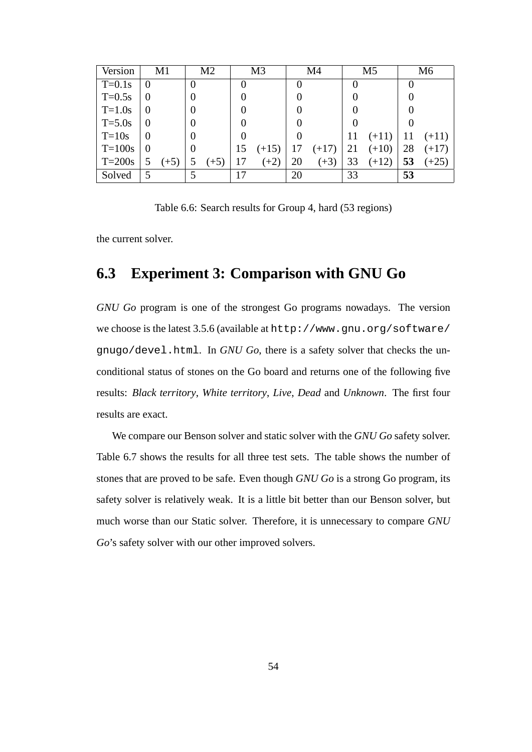| Version  |                | M1     |          | M <sub>2</sub> |    | M <sub>3</sub> |     | M4      |    | M5      |     | M <sub>6</sub> |
|----------|----------------|--------|----------|----------------|----|----------------|-----|---------|----|---------|-----|----------------|
| $T=0.1s$ | $\overline{0}$ |        | $\theta$ |                |    |                |     |         |    |         |     |                |
| $T=0.5s$ | $\overline{0}$ |        | $\theta$ |                |    |                |     |         |    |         |     |                |
| $T=1.0s$ | $\overline{0}$ |        | $\theta$ |                |    |                |     |         |    |         |     |                |
| $T=5.0s$ | $\overline{0}$ |        | $\theta$ |                |    |                |     |         |    |         |     |                |
| $T=10s$  | $\theta$       |        | $\theta$ |                |    |                |     |         | 11 | $(+11)$ | -11 | $(+11)$        |
| $T=100s$ | $\theta$       |        | $\theta$ |                | 15 | $(+15)$        | -17 | $(+17)$ | 21 | $(+10)$ | 28  | $(+17)$        |
| $T=200s$ |                | $(+5)$ | 5        | $(+5)$         | 17 | $(+2)$         | 20  | $(+3)$  | 33 | $(+12)$ | 53  | $(+25)$        |
| Solved   | 5              |        | 5        |                | 17 |                | 20  |         | 33 |         | 53  |                |

Table 6.6: Search results for Group 4, hard (53 regions)

the current solver.

# **6.3 Experiment 3: Comparison with GNU Go**

*GNU Go* program is one of the strongest Go programs nowadays. The version we choose is the latest 3.5.6 (available at http://www.gnu.org/software/ gnugo/devel.html. In *GNU Go*, there is a safety solver that checks the unconditional status of stones on the Go board and returns one of the following five results: *Black territory*, *White territory*, *Live*, *Dead* and *Unknown*. The first four results are exact.

We compare our Benson solver and static solver with the *GNU Go* safety solver. Table 6.7 shows the results for all three test sets. The table shows the number of stones that are proved to be safe. Even though *GNU Go* is a strong Go program, its safety solver is relatively weak. It is a little bit better than our Benson solver, but much worse than our Static solver. Therefore, it is unnecessary to compare *GNU Go*'s safety solver with our other improved solvers.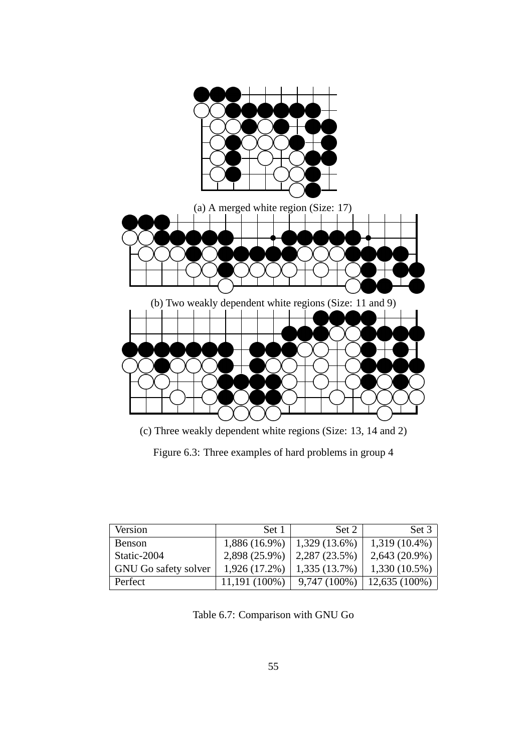

(c) Three weakly dependent white regions (Size: 13, 14 and 2)

| Version              | Set 1           | Set $21$        | Set 3           |
|----------------------|-----------------|-----------------|-----------------|
| Benson               | $1,886(16.9\%)$ | $1,329(13.6\%)$ | $1,319(10.4\%)$ |
| Static-2004          | $2,898(25.9\%)$ | 2,287 (23.5%)   | $2,643(20.9\%)$ |
| GNU Go safety solver | $1,926(17.2\%)$ | 1,335 (13.7%)   | $1,330(10.5\%)$ |
| Perfect              | $11,191(100\%)$ | $9,747(100\%)$  | $12,635(100\%)$ |

Table 6.7: Comparison with GNU Go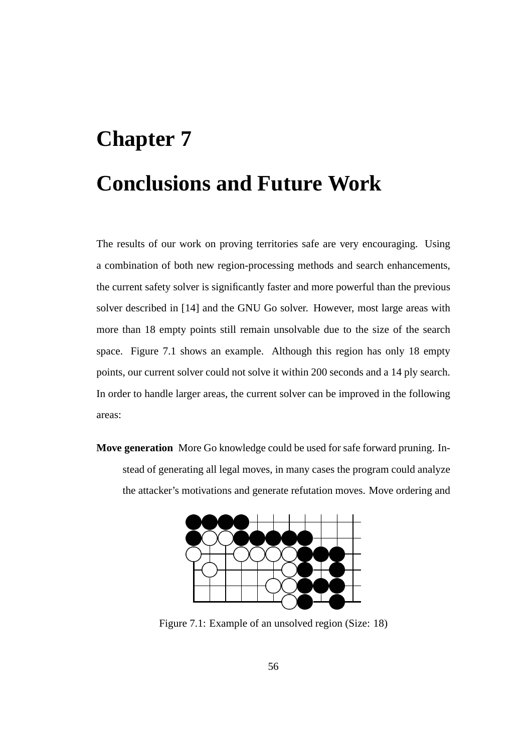# **Chapter 7 Conclusions and Future Work**

The results of our work on proving territories safe are very encouraging. Using a combination of both new region-processing methods and search enhancements, the current safety solver is significantly faster and more powerful than the previous solver described in [14] and the GNU Go solver. However, most large areas with more than 18 empty points still remain unsolvable due to the size of the search space. Figure 7.1 shows an example. Although this region has only 18 empty points, our current solver could not solve it within 200 seconds and a 14 ply search. In order to handle larger areas, the current solver can be improved in the following areas:

**Move generation** More Go knowledge could be used for safe forward pruning. Instead of generating all legal moves, in many cases the program could analyze the attacker's motivations and generate refutation moves. Move ordering and



Figure 7.1: Example of an unsolved region (Size: 18)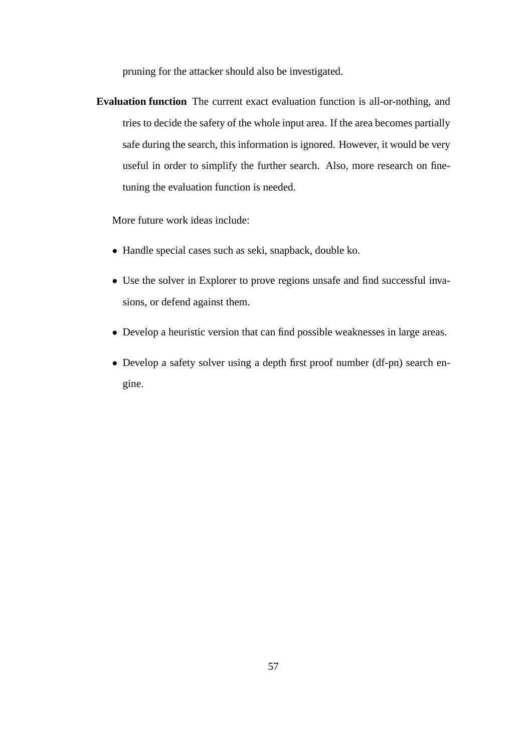pruning for the attacker should also be investigated.

**Evaluation function** The current exact evaluation function is all-or-nothing, and tries to decide the safety of the whole input area. If the area becomes partially safe during the search, this information is ignored. However, it would be very useful in order to simplify the further search. Also, more research on finetuning the evaluation function is needed.

More future work ideas include:

- Handle special cases such as seki, snapback, double ko.
- Use the solver in Explorer to prove regions unsafe and find successful invasions, or defend against them.
- Develop a heuristic version that can find possible weaknesses in large areas.
- Develop a safety solver using a depth first proof number (df-pn) search engine.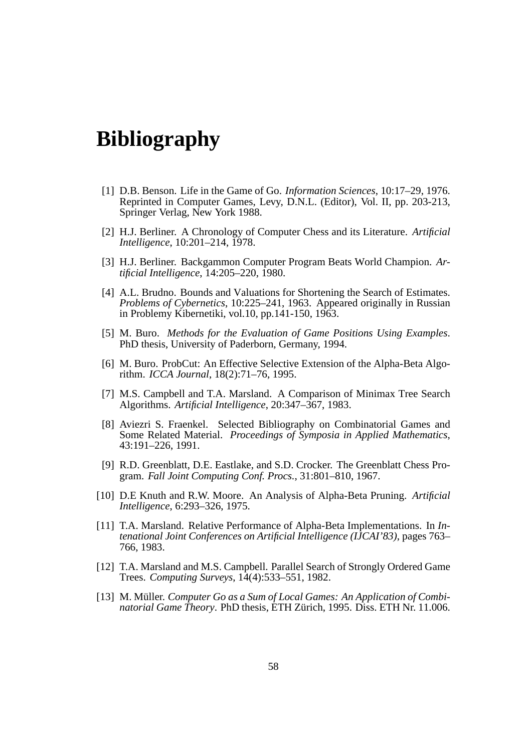# **Bibliography**

- [1] D.B. Benson. Life in the Game of Go. *Information Sciences*, 10:17–29, 1976. Reprinted in Computer Games, Levy, D.N.L. (Editor), Vol. II, pp. 203-213, Springer Verlag, New York 1988.
- [2] H.J. Berliner. A Chronology of Computer Chess and its Literature. *Artificial Intelligence*, 10:201–214, 1978.
- [3] H.J. Berliner. Backgammon Computer Program Beats World Champion. *Artificial Intelligence*, 14:205–220, 1980.
- [4] A.L. Brudno. Bounds and Valuations for Shortening the Search of Estimates. *Problems of Cybernetics*, 10:225–241, 1963. Appeared originally in Russian in Problemy Kibernetiki, vol.10, pp.141-150, 1963.
- [5] M. Buro. *Methods for the Evaluation of Game Positions Using Examples*. PhD thesis, University of Paderborn, Germany, 1994.
- [6] M. Buro. ProbCut: An Effective Selective Extension of the Alpha-Beta Algorithm. *ICCA Journal*, 18(2):71–76, 1995.
- [7] M.S. Campbell and T.A. Marsland. A Comparison of Minimax Tree Search Algorithms. *Artificial Intelligence*, 20:347–367, 1983.
- [8] Aviezri S. Fraenkel. Selected Bibliography on Combinatorial Games and Some Related Material. *Proceedings of Symposia in Applied Mathematics*, 43:191–226, 1991.
- [9] R.D. Greenblatt, D.E. Eastlake, and S.D. Crocker. The Greenblatt Chess Program. *Fall Joint Computing Conf. Procs.*, 31:801–810, 1967.
- [10] D.E Knuth and R.W. Moore. An Analysis of Alpha-Beta Pruning. *Artificial Intelligence*, 6:293–326, 1975.
- [11] T.A. Marsland. Relative Performance of Alpha-Beta Implementations. In *Intenational Joint Conferences on Artificial Intelligence (IJCAI'83)*, pages 763– 766, 1983.
- [12] T.A. Marsland and M.S. Campbell. Parallel Search of Strongly Ordered Game Trees. *Computing Surveys*, 14(4):533–551, 1982.
- [13] M. Müller. *Computer Go as a Sum of Local Games: An Application of Combinatorial Game Theory. PhD thesis, ETH Zürich, 1995. Diss. ETH Nr. 11.006.*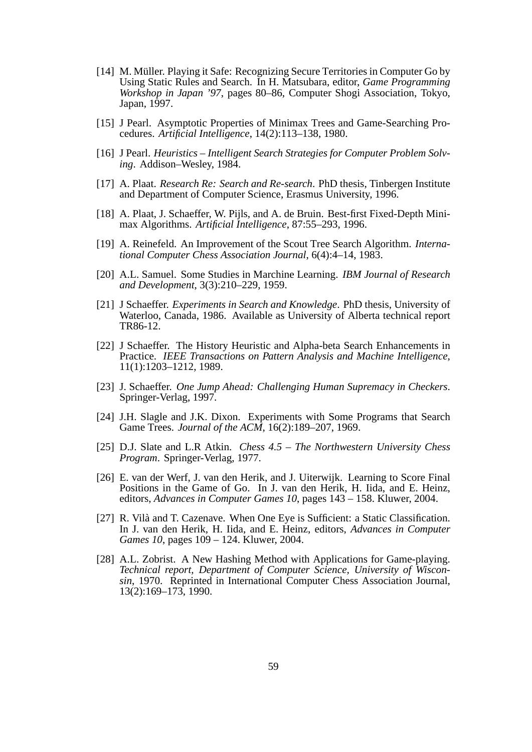- [14] M. Müller. Playing it Safe: Recognizing Secure Territories in Computer Go by Using Static Rules and Search. In H. Matsubara, editor, *Game Programming Workshop in Japan '97*, pages 80–86, Computer Shogi Association, Tokyo, Japan, 1997.
- [15] J Pearl. Asymptotic Properties of Minimax Trees and Game-Searching Procedures. *Artificial Intelligence*, 14(2):113–138, 1980.
- [16] J Pearl. *Heuristics Intelligent Search Strategies for Computer Problem Solving*. Addison–Wesley, 1984.
- [17] A. Plaat. *Research Re: Search and Re-search*. PhD thesis, Tinbergen Institute and Department of Computer Science, Erasmus University, 1996.
- [18] A. Plaat, J. Schaeffer, W. Pijls, and A. de Bruin. Best-first Fixed-Depth Minimax Algorithms. *Artificial Intelligence*, 87:55–293, 1996.
- [19] A. Reinefeld. An Improvement of the Scout Tree Search Algorithm. *International Computer Chess Association Journal*, 6(4):4–14, 1983.
- [20] A.L. Samuel. Some Studies in Marchine Learning. *IBM Journal of Research and Development*, 3(3):210–229, 1959.
- [21] J Schaeffer. *Experiments in Search and Knowledge*. PhD thesis, University of Waterloo, Canada, 1986. Available as University of Alberta technical report TR86-12.
- [22] J Schaeffer. The History Heuristic and Alpha-beta Search Enhancements in Practice. *IEEE Transactions on Pattern Analysis and Machine Intelligence*, 11(1):1203–1212, 1989.
- [23] J. Schaeffer. *One Jump Ahead: Challenging Human Supremacy in Checkers*. Springer-Verlag, 1997.
- [24] J.H. Slagle and J.K. Dixon. Experiments with Some Programs that Search Game Trees. *Journal of the ACM*, 16(2):189–207, 1969.
- [25] D.J. Slate and L.R Atkin. *Chess 4.5 The Northwestern University Chess Program*. Springer-Verlag, 1977.
- [26] E. van der Werf, J. van den Herik, and J. Uiterwijk. Learning to Score Final Positions in the Game of Go. In J. van den Herik, H. Iida, and E. Heinz, editors, *Advances in Computer Games 10*, pages 143 – 158. Kluwer, 2004.
- [27] R. Vilà and T. Cazenave. When One Eye is Sufficient: a Static Classification. In J. van den Herik, H. Iida, and E. Heinz, editors, *Advances in Computer Games 10*, pages 109 – 124. Kluwer, 2004.
- [28] A.L. Zobrist. A New Hashing Method with Applications for Game-playing. *Technical report, Department of Computer Science, University of Wisconsin*, 1970. Reprinted in International Computer Chess Association Journal, 13(2):169–173, 1990.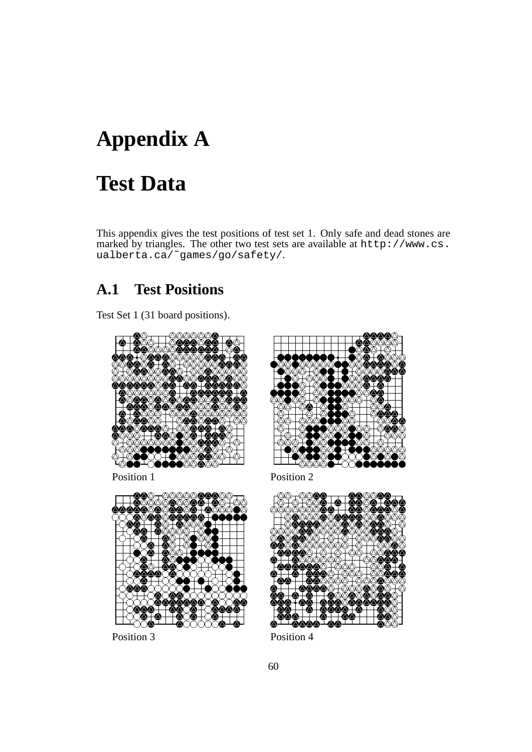# **Appendix A**

# **Test Data**

This appendix gives the test positions of test set 1. Only safe and dead stones are marked by triangles. The other two test sets are available at http://www.cs. ualberta.ca/˜games/go/safety/.

# **A.1 Test Positions**

Test Set 1 (31 board positions).



Position 1



Position 3



Position 2



Position 4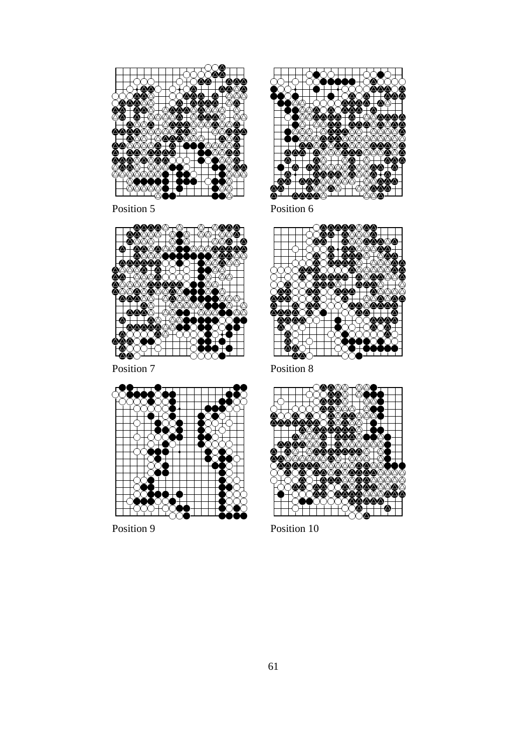

Position 5



Position 7



Position 6



Position 8



Position 9



Position 10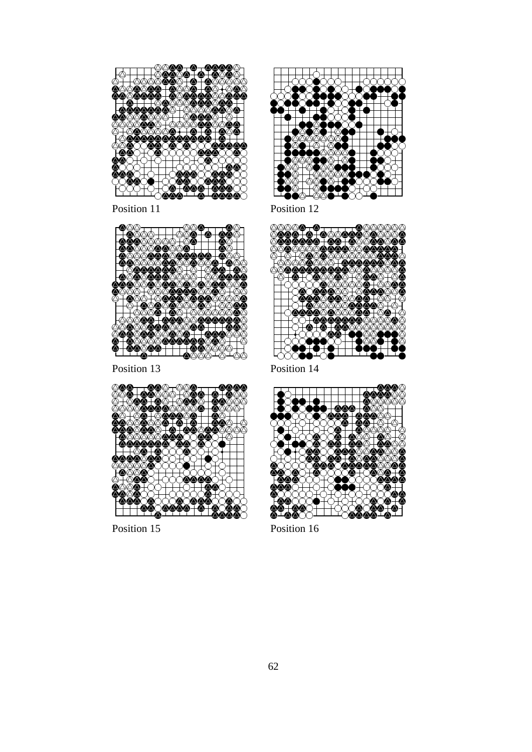

Position 11



Position 12



Position 13



Position 14



Position 15



Position 16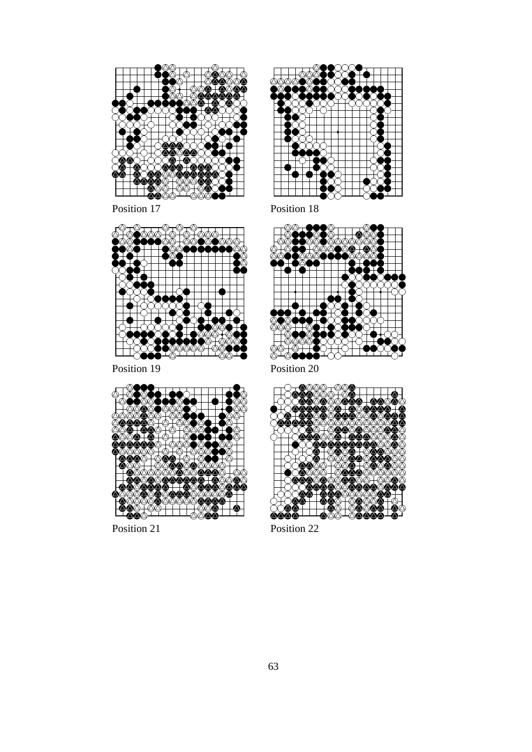

Position 17



Position 19



Position 21



Position 18



Position 20



Position 22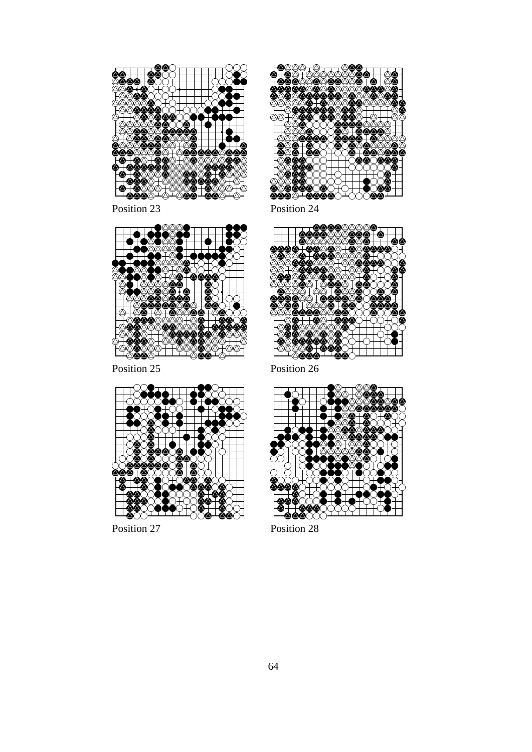

Position 23



**◆**父父<del>♡エ父エエエ</del>父父父 <del>©]@</del>QtQQQQQQ**@@ttQ@** <del></del>❤️❤️©©©©©©©©±©±©©



Position 25



Position 27



Position 26



Position 28